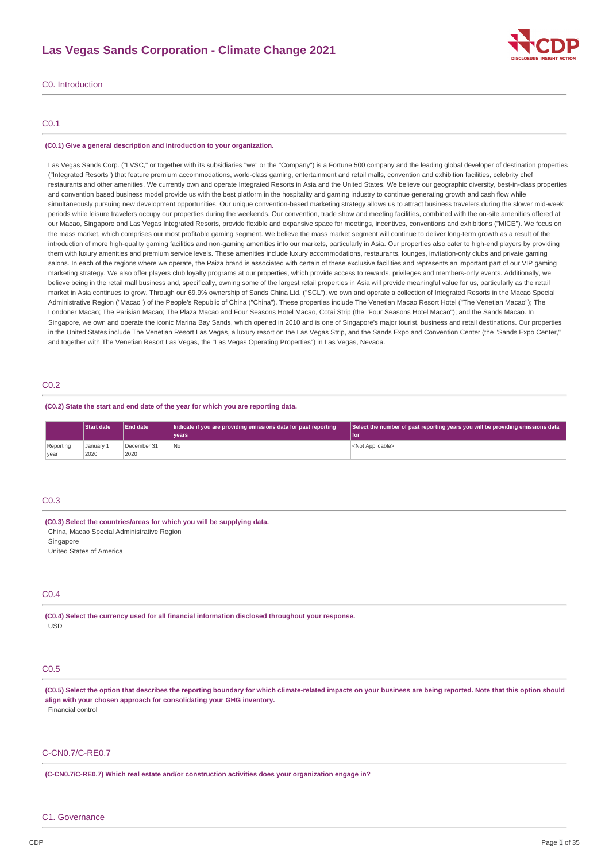# **Las Vegas Sands Corporation - Climate Change 2021**



## C0. Introduction

## C0.1

#### **(C0.1) Give a general description and introduction to your organization.**

Las Vegas Sands Corp. ("LVSC," or together with its subsidiaries "we" or the "Company") is a Fortune 500 company and the leading global developer of destination properties ("Integrated Resorts") that feature premium accommodations, world-class gaming, entertainment and retail malls, convention and exhibition facilities, celebrity chef restaurants and other amenities. We currently own and operate Integrated Resorts in Asia and the United States. We believe our geographic diversity, best-in-class properties and convention based business model provide us with the best platform in the hospitality and gaming industry to continue generating growth and cash flow while simultaneously pursuing new development opportunities. Our unique convention-based marketing strategy allows us to attract business travelers during the slower mid-week periods while leisure travelers occupy our properties during the weekends. Our convention, trade show and meeting facilities, combined with the on-site amenities offered at our Macao, Singapore and Las Vegas Integrated Resorts, provide flexible and expansive space for meetings, incentives, conventions and exhibitions ("MICE"). We focus on the mass market, which comprises our most profitable gaming segment. We believe the mass market segment will continue to deliver long-term growth as a result of the introduction of more high-quality gaming facilities and non-gaming amenities into our markets, particularly in Asia. Our properties also cater to high-end players by providing them with luxury amenities and premium service levels. These amenities include luxury accommodations, restaurants, lounges, invitation-only clubs and private gaming salons. In each of the regions where we operate, the Paiza brand is associated with certain of these exclusive facilities and represents an important part of our VIP gaming marketing strategy. We also offer players club loyalty programs at our properties, which provide access to rewards, privileges and members-only events. Additionally, we believe being in the retail mall business and, specifically, owning some of the largest retail properties in Asia will provide meaningful value for us, particularly as the retail market in Asia continues to grow. Through our 69.9% ownership of Sands China Ltd. ("SCL"), we own and operate a collection of Integrated Resorts in the Macao Special Administrative Region ("Macao") of the People's Republic of China ("China"). These properties include The Venetian Macao Resort Hotel ("The Venetian Macao"); The Londoner Macao; The Parisian Macao; The Plaza Macao and Four Seasons Hotel Macao, Cotai Strip (the "Four Seasons Hotel Macao"); and the Sands Macao. In Singapore, we own and operate the iconic Marina Bay Sands, which opened in 2010 and is one of Singapore's major tourist, business and retail destinations. Our properties in the United States include The Venetian Resort Las Vegas, a luxury resort on the Las Vegas Strip, and the Sands Expo and Convention Center (the "Sands Expo Center," and together with The Venetian Resort Las Vegas, the "Las Vegas Operating Properties") in Las Vegas, Nevada.

## C0.2

#### **(C0.2) State the start and end date of the year for which you are reporting data.**

|           | <b>Start date</b> | <b>End date</b> | Indicate if you are providing emissions data for past reporting | Select the number of past reporting years you will be providing emissions data |
|-----------|-------------------|-----------------|-----------------------------------------------------------------|--------------------------------------------------------------------------------|
|           |                   |                 | vears <sup>®</sup>                                              | l for                                                                          |
| Reporting | January 1         | December 31     | l No                                                            | <not applicable=""></not>                                                      |
| vear      | 2020              | 2020            |                                                                 |                                                                                |

### C0.3

**(C0.3) Select the countries/areas for which you will be supplying data.** China, Macao Special Administrative Region

Singapore

United States of America

#### C0.4

**(C0.4) Select the currency used for all financial information disclosed throughout your response.** USD

### C<sub>0.5</sub>

(C0.5) Select the option that describes the reporting boundary for which climate-related impacts on your business are being reported. Note that this option should **align with your chosen approach for consolidating your GHG inventory.** Financial control

### C-CN0.7/C-RE0.7

**(C-CN0.7/C-RE0.7) Which real estate and/or construction activities does your organization engage in?**

#### C1. Governance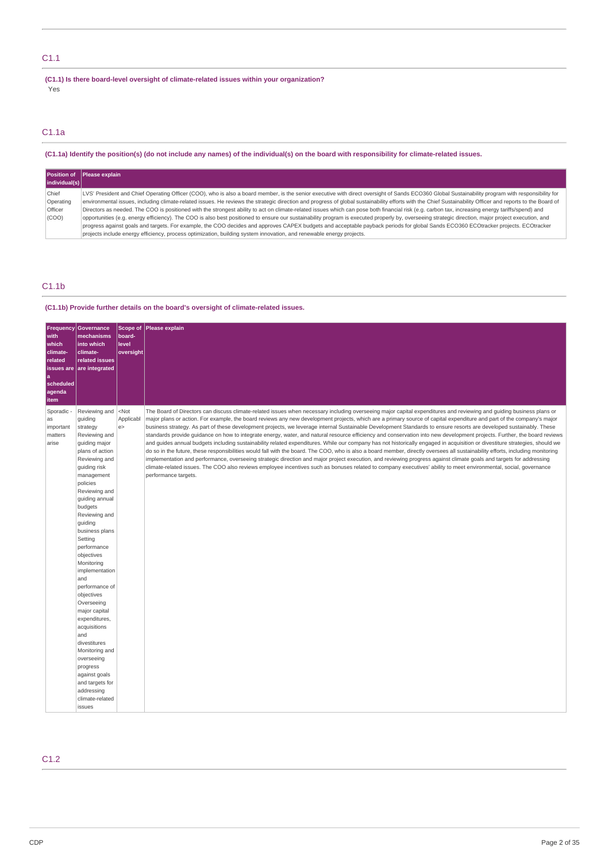# C1.1

**(C1.1) Is there board-level oversight of climate-related issues within your organization?** Yes

# C1.1a

(C1.1a) Identify the position(s) (do not include any names) of the individual(s) on the board with responsibility for climate-related issues.

|               | Position of Please explain                                                                                                                                                                                 |
|---------------|------------------------------------------------------------------------------------------------------------------------------------------------------------------------------------------------------------|
| individual(s) |                                                                                                                                                                                                            |
| Chief         | LVS' President and Chief Operating Officer (COO), who is also a board member, is the senior executive with direct oversight of Sands ECO360 Global Sustainability program with responsibility for          |
| Operating     | environmental issues, including climate-related issues. He reviews the strategic direction and progress of global sustainability efforts with the Chief Sustainability Officer and reports to the Board of |
| Officer       | Directors as needed. The COO is positioned with the strongest ability to act on climate-related issues which can pose both financial risk (e.g. carbon tax, increasing energy tariffs/spend) and           |
| (COO)         | opportunities (e.g. energy efficiency). The COO is also best positioned to ensure our sustainability program is executed properly by, overseeing strategic direction, major project execution, and         |
|               | progress against goals and targets. For example, the COO decides and approves CAPEX budgets and acceptable payback periods for global Sands ECO360 ECOtracker projects. ECOtracker                         |
|               | projects include energy efficiency, process optimization, building system innovation, and renewable energy projects.                                                                                       |

# C1.1b

## **(C1.1b) Provide further details on the board's oversight of climate-related issues.**

| <b>Frequency</b><br>with<br>which<br>climate-<br>related<br>a<br>scheduled<br>agenda<br>item | Governance<br>mechanisms<br>into which<br>climate-<br>related issues<br>issues are are integrated                                                                                                                                                                                                                                                                                                                                                                                                                                                                                 | Scope of<br>board-<br>level<br>oversight | Please explain                                                                                                                                                                                                                                                                                                                                                                                                                                                                                                                                                                                                                                                                                                                                                                                                                                                                                                                                                                                                                                                                                                                                                                                                                                                                                                                                                                                                                        |
|----------------------------------------------------------------------------------------------|-----------------------------------------------------------------------------------------------------------------------------------------------------------------------------------------------------------------------------------------------------------------------------------------------------------------------------------------------------------------------------------------------------------------------------------------------------------------------------------------------------------------------------------------------------------------------------------|------------------------------------------|---------------------------------------------------------------------------------------------------------------------------------------------------------------------------------------------------------------------------------------------------------------------------------------------------------------------------------------------------------------------------------------------------------------------------------------------------------------------------------------------------------------------------------------------------------------------------------------------------------------------------------------------------------------------------------------------------------------------------------------------------------------------------------------------------------------------------------------------------------------------------------------------------------------------------------------------------------------------------------------------------------------------------------------------------------------------------------------------------------------------------------------------------------------------------------------------------------------------------------------------------------------------------------------------------------------------------------------------------------------------------------------------------------------------------------------|
| Sporadic -<br>as<br>important<br>matters<br>arise                                            | Reviewing and<br>guiding<br>strategy<br>Reviewing and<br>guiding major<br>plans of action<br>Reviewing and<br>guiding risk<br>management<br>policies<br>Reviewing and<br>guiding annual<br>budgets<br>Reviewing and<br>guiding<br>business plans<br>Setting<br>performance<br>objectives<br>Monitoring<br>implementation<br>and<br>performance of<br>objectives<br>Overseeing<br>major capital<br>expenditures,<br>acquisitions<br>and<br>divestitures<br>Monitoring and<br>overseeing<br>progress<br>against goals<br>and targets for<br>addressing<br>climate-related<br>issues | $<$ Not<br>Applicabl<br>e                | The Board of Directors can discuss climate-related issues when necessary including overseeing major capital expenditures and reviewing and guiding business plans or<br>major plans or action. For example, the board reviews any new development projects, which are a primary source of capital expenditure and part of the company's major<br>business strategy. As part of these development projects, we leverage internal Sustainable Development Standards to ensure resorts are developed sustainably. These<br>standards provide quidance on how to integrate energy, water, and natural resource efficiency and conservation into new development projects. Further, the board reviews<br>and guides annual budgets including sustainability related expenditures. While our company has not historically engaged in acquisition or divestiture strategies, should we<br>do so in the future, these responsibilities would fall with the board. The COO, who is also a board member, directly oversees all sustainability efforts, including monitoring<br>implementation and performance, overseeing strategic direction and major project execution, and reviewing progress against climate goals and targets for addressing<br>climate-related issues. The COO also reviews employee incentives such as bonuses related to company executives' ability to meet environmental, social, governance<br>performance targets. |

# C1.2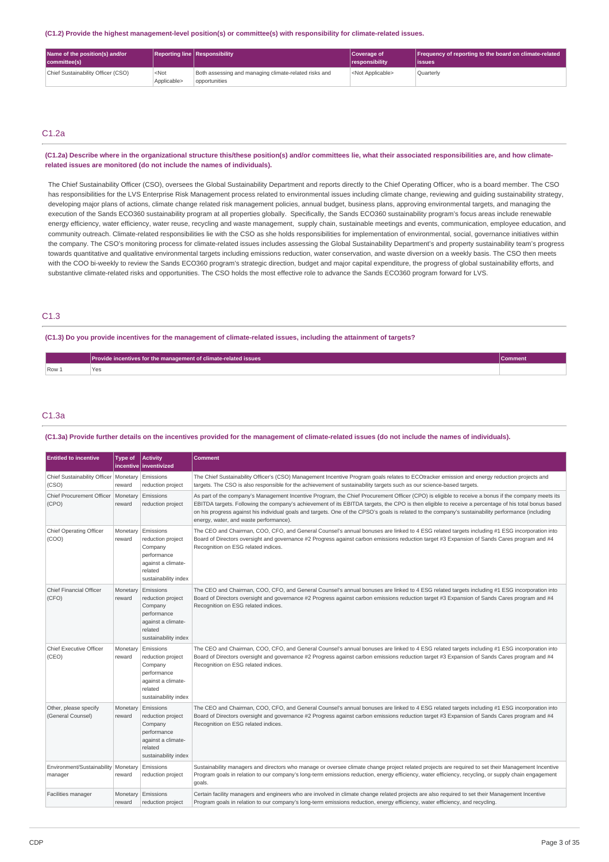**(C1.2) Provide the highest management-level position(s) or committee(s) with responsibility for climate-related issues.**

| Name of the position(s) and/or<br>committee(s) |                        | <b>Reporting line Responsibility</b>                                   | Coverage of<br>responsibility | Frequency of reporting to the board on climate-related<br>lissues |
|------------------------------------------------|------------------------|------------------------------------------------------------------------|-------------------------------|-------------------------------------------------------------------|
| Chief Sustainability Officer (CSO)             | $<$ Not<br>Applicable> | Both assessing and managing climate-related risks and<br>opportunities | <not applicable=""></not>     | Ouarterly                                                         |

# C1.2a

(C1.2a) Describe where in the organizational structure this/these position(s) and/or committees lie, what their associated responsibilities are, and how climate**related issues are monitored (do not include the names of individuals).**

The Chief Sustainability Officer (CSO), oversees the Global Sustainability Department and reports directly to the Chief Operating Officer, who is a board member. The CSO has responsibilities for the LVS Enterprise Risk Management process related to environmental issues including climate change, reviewing and guiding sustainability strategy, developing major plans of actions, climate change related risk management policies, annual budget, business plans, approving environmental targets, and managing the execution of the Sands ECO360 sustainability program at all properties globally. Specifically, the Sands ECO360 sustainability program's focus areas include renewable energy efficiency, water efficiency, water reuse, recycling and waste management, supply chain, sustainable meetings and events, communication, employee education, and community outreach. Climate-related responsibilities lie with the CSO as she holds responsibilities for implementation of environmental, social, governance initiatives within the company. The CSO's monitoring process for climate-related issues includes assessing the Global Sustainability Department's and property sustainability team's progress towards quantitative and qualitative environmental targets including emissions reduction, water conservation, and waste diversion on a weekly basis. The CSO then meets with the COO bi-weekly to review the Sands ECO360 program's strategic direction, budget and major capital expenditure, the progress of global sustainability efforts, and substantive climate-related risks and opportunities. The CSO holds the most effective role to advance the Sands ECO360 program forward for LVS.

## C1.3

(C1.3) Do you provide incentives for the management of climate-related issues, including the attainment of targets?

|       | Provide incentives for the management of climate-related issues | commen. |
|-------|-----------------------------------------------------------------|---------|
| Row 1 |                                                                 |         |

### C1.3a

#### (C1.3a) Provide further details on the incentives provided for the management of climate-related issues (do not include the names of individuals).

| <b>Entitled to incentive</b>                     | Type of            | <b>Activity</b><br>incentive   inventivized                                                                       | <b>Comment</b>                                                                                                                                                                                                                                                                                                                                                                                                                                                                                              |
|--------------------------------------------------|--------------------|-------------------------------------------------------------------------------------------------------------------|-------------------------------------------------------------------------------------------------------------------------------------------------------------------------------------------------------------------------------------------------------------------------------------------------------------------------------------------------------------------------------------------------------------------------------------------------------------------------------------------------------------|
| Chief Sustainability Officer   Monetary<br>(CSO) | reward             | Emissions<br>reduction project                                                                                    | The Chief Sustainability Officer's (CSO) Management Incentive Program goals relates to ECOtracker emission and energy reduction projects and<br>targets. The CSO is also responsible for the achievement of sustainability targets such as our science-based targets.                                                                                                                                                                                                                                       |
| Chief Procurement Officer   Monetary<br>(CPO)    | reward             | Emissions<br>reduction project                                                                                    | As part of the company's Management Incentive Program, the Chief Procurement Officer (CPO) is eligible to receive a bonus if the company meets its<br>EBITDA targets. Following the company's achievement of its EBITDA targets, the CPO is then eligible to receive a percentage of his total bonus based<br>on his progress against his individual goals and targets. One of the CPSO's goals is related to the company's sustainability performance (including<br>energy, water, and waste performance). |
| Chief Operating Officer<br>(COO)                 | Monetary<br>reward | Emissions<br>reduction project<br>Company<br>performance<br>against a climate-<br>related<br>sustainability index | The CEO and Chairman, COO, CFO, and General Counsel's annual bonuses are linked to 4 ESG related targets including #1 ESG incorporation into<br>Board of Directors oversight and governance #2 Progress against carbon emissions reduction target #3 Expansion of Sands Cares program and #4<br>Recognition on ESG related indices.                                                                                                                                                                         |
| <b>Chief Financial Officer</b><br>(CFO)          | Monetary<br>reward | Emissions<br>reduction project<br>Company<br>performance<br>against a climate-<br>related<br>sustainability index | The CEO and Chairman, COO, CFO, and General Counsel's annual bonuses are linked to 4 ESG related targets including #1 ESG incorporation into<br>Board of Directors oversight and governance #2 Progress against carbon emissions reduction target #3 Expansion of Sands Cares program and #4<br>Recognition on ESG related indices.                                                                                                                                                                         |
| Chief Executive Officer<br>(CEO)                 | Monetary<br>reward | Emissions<br>reduction project<br>Company<br>performance<br>against a climate-<br>related<br>sustainability index | The CEO and Chairman, COO, CFO, and General Counsel's annual bonuses are linked to 4 ESG related targets including #1 ESG incorporation into<br>Board of Directors oversight and governance #2 Progress against carbon emissions reduction target #3 Expansion of Sands Cares program and #4<br>Recognition on ESG related indices.                                                                                                                                                                         |
| Other, please specify<br>(General Counsel)       | Monetary<br>reward | Emissions<br>reduction project<br>Company<br>performance<br>against a climate-<br>related<br>sustainability index | The CEO and Chairman, COO, CFO, and General Counsel's annual bonuses are linked to 4 ESG related targets including #1 ESG incorporation into<br>Board of Directors oversight and governance #2 Progress against carbon emissions reduction target #3 Expansion of Sands Cares program and #4<br>Recognition on ESG related indices.                                                                                                                                                                         |
| Environment/Sustainability   Monetary<br>manager | reward             | Emissions<br>reduction project                                                                                    | Sustainability managers and directors who manage or oversee climate change project related projects are required to set their Management Incentive<br>Program goals in relation to our company's long-term emissions reduction, energy efficiency, water efficiency, recycling, or supply chain engagement<br>goals.                                                                                                                                                                                        |
| Facilities manager                               | Monetary<br>reward | Emissions<br>reduction project                                                                                    | Certain facility managers and engineers who are involved in climate change related projects are also required to set their Management Incentive<br>Program goals in relation to our company's long-term emissions reduction, energy efficiency, water efficiency, and recycling.                                                                                                                                                                                                                            |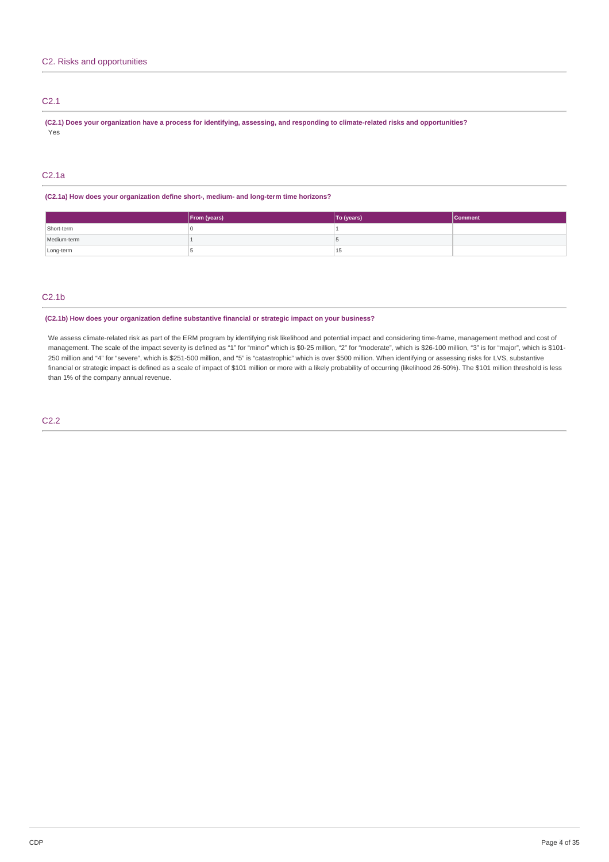# C2.1

(C2.1) Does your organization have a process for identifying, assessing, and responding to climate-related risks and opportunities? Yes

## C2.1a

### **(C2.1a) How does your organization define short-, medium- and long-term time horizons?**

|             | <b>From (years)</b> | To (years) | <b>Comment</b> |
|-------------|---------------------|------------|----------------|
| Short-term  |                     |            |                |
| Medium-term |                     |            |                |
| Long-term   |                     | L5         |                |

# C2.1b

### **(C2.1b) How does your organization define substantive financial or strategic impact on your business?**

We assess climate-related risk as part of the ERM program by identifying risk likelihood and potential impact and considering time-frame, management method and cost of management. The scale of the impact severity is defined as "1" for "minor" which is \$0-25 million, "2" for "moderate", which is \$26-100 million, "3" is for "major", which is \$101-250 million and "4" for "severe", which is \$251-500 million, and "5" is "catastrophic" which is over \$500 million. When identifying or assessing risks for LVS, substantive financial or strategic impact is defined as a scale of impact of \$101 million or more with a likely probability of occurring (likelihood 26-50%). The \$101 million threshold is less than 1% of the company annual revenue.

C2.2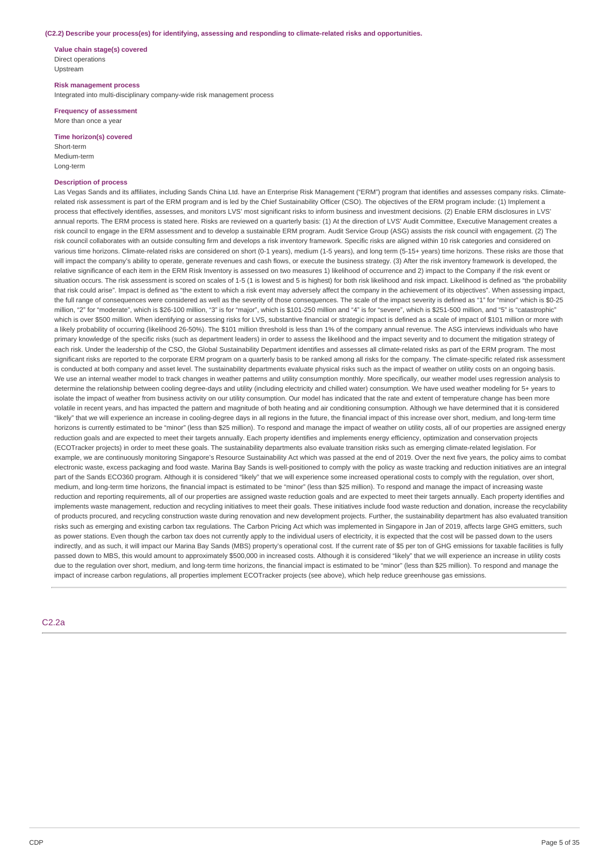#### **(C2.2) Describe your process(es) for identifying, assessing and responding to climate-related risks and opportunities.**

**Value chain stage(s) covered** Direct operations Upstream

**Risk management process**

Integrated into multi-disciplinary company-wide risk management process

**Frequency of assessment** More than once a year

**Time horizon(s) covered** Short-term

Medium-term Long-term

### **Description of process**

Las Vegas Sands and its affiliates, including Sands China Ltd. have an Enterprise Risk Management ("ERM") program that identifies and assesses company risks. Climaterelated risk assessment is part of the ERM program and is led by the Chief Sustainability Officer (CSO). The objectives of the ERM program include: (1) Implement a process that effectively identifies, assesses, and monitors LVS' most significant risks to inform business and investment decisions. (2) Enable ERM disclosures in LVS' annual reports. The ERM process is stated here. Risks are reviewed on a quarterly basis: (1) At the direction of LVS' Audit Committee, Executive Management creates a risk council to engage in the ERM assessment and to develop a sustainable ERM program. Audit Service Group (ASG) assists the risk council with engagement. (2) The risk council collaborates with an outside consulting firm and develops a risk inventory framework. Specific risks are aligned within 10 risk categories and considered on various time horizons. Climate-related risks are considered on short (0-1 years), medium (1-5 years), and long term (5-15+ years) time horizons. These risks are those that will impact the company's ability to operate, generate revenues and cash flows, or execute the business strategy. (3) After the risk inventory framework is developed, the relative significance of each item in the ERM Risk Inventory is assessed on two measures 1) likelihood of occurrence and 2) impact to the Company if the risk event or situation occurs. The risk assessment is scored on scales of 1-5 (1 is lowest and 5 is highest) for both risk likelihood and risk impact. Likelihood is defined as "the probability that risk could arise". Impact is defined as "the extent to which a risk event may adversely affect the company in the achievement of its objectives". When assessing impact, the full range of consequences were considered as well as the severity of those consequences. The scale of the impact severity is defined as "1" for "minor" which is \$0-25 million, "2" for "moderate", which is \$26-100 million, "3" is for "major", which is \$101-250 million and "4" is for "severe", which is \$251-500 million, and "5" is "catastrophic" which is over \$500 million. When identifying or assessing risks for LVS, substantive financial or strategic impact is defined as a scale of impact of \$101 million or more with a likely probability of occurring (likelihood 26-50%). The \$101 million threshold is less than 1% of the company annual revenue. The ASG interviews individuals who have primary knowledge of the specific risks (such as department leaders) in order to assess the likelihood and the impact severity and to document the mitigation strategy of each risk. Under the leadership of the CSO, the Global Sustainability Department identifies and assesses all climate-related risks as part of the ERM program. The most significant risks are reported to the corporate ERM program on a quarterly basis to be ranked among all risks for the company. The climate-specific related risk assessment is conducted at both company and asset level. The sustainability departments evaluate physical risks such as the impact of weather on utility costs on an ongoing basis. We use an internal weather model to track changes in weather patterns and utility consumption monthly. More specifically, our weather model uses regression analysis to determine the relationship between cooling degree-days and utility (including electricity and chilled water) consumption. We have used weather modeling for 5+ years to isolate the impact of weather from business activity on our utility consumption. Our model has indicated that the rate and extent of temperature change has been more volatile in recent years, and has impacted the pattern and magnitude of both heating and air conditioning consumption. Although we have determined that it is considered "likely" that we will experience an increase in cooling-degree days in all regions in the future, the financial impact of this increase over short, medium, and long-term time horizons is currently estimated to be "minor" (less than \$25 million). To respond and manage the impact of weather on utility costs, all of our properties are assigned energy reduction goals and are expected to meet their targets annually. Each property identifies and implements energy efficiency, optimization and conservation projects (ECOTracker projects) in order to meet these goals. The sustainability departments also evaluate transition risks such as emerging climate-related legislation. For example, we are continuously monitoring Singapore's Resource Sustainability Act which was passed at the end of 2019. Over the next five years, the policy aims to combat electronic waste, excess packaging and food waste. Marina Bay Sands is well-positioned to comply with the policy as waste tracking and reduction initiatives are an integral part of the Sands ECO360 program. Although it is considered "likely" that we will experience some increased operational costs to comply with the regulation, over short, medium, and long-term time horizons, the financial impact is estimated to be "minor" (less than \$25 million). To respond and manage the impact of increasing waste reduction and reporting requirements, all of our properties are assigned waste reduction goals and are expected to meet their targets annually. Each property identifies and implements waste management, reduction and recycling initiatives to meet their goals. These initiatives include food waste reduction and donation, increase the recyclability of products procured, and recycling construction waste during renovation and new development projects. Further, the sustainability department has also evaluated transition risks such as emerging and existing carbon tax regulations. The Carbon Pricing Act which was implemented in Singapore in Jan of 2019, affects large GHG emitters, such as power stations. Even though the carbon tax does not currently apply to the individual users of electricity, it is expected that the cost will be passed down to the users indirectly, and as such, it will impact our Marina Bay Sands (MBS) property's operational cost. If the current rate of \$5 per ton of GHG emissions for taxable facilities is fully passed down to MBS, this would amount to approximately \$500,000 in increased costs. Although it is considered "likely" that we will experience an increase in utility costs due to the regulation over short, medium, and long-term time horizons, the financial impact is estimated to be "minor" (less than \$25 million). To respond and manage the impact of increase carbon regulations, all properties implement ECOTracker projects (see above), which help reduce greenhouse gas emissions.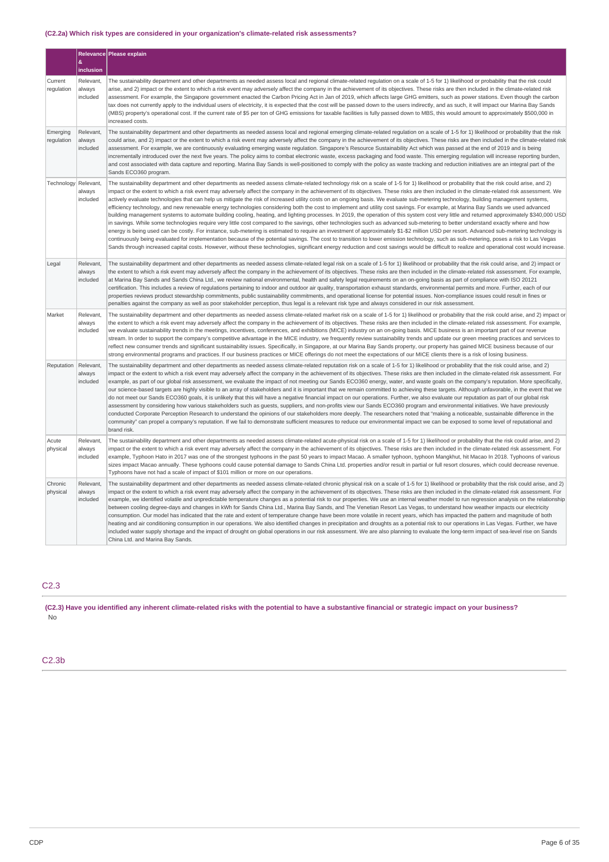## **(C2.2a) Which risk types are considered in your organization's climate-related risk assessments?**

|                        |                                 | Relevance Please explain                                                                                                                                                                                                                                                                                                                                                                                                                                                                                                                                                                                                                                                                                                                                                                                                                                                                                                                                                                                                                                                                                                                                                                                                                                                                                                                                                                                                                                                                                                                                                                                                                                                                                                                    |
|------------------------|---------------------------------|---------------------------------------------------------------------------------------------------------------------------------------------------------------------------------------------------------------------------------------------------------------------------------------------------------------------------------------------------------------------------------------------------------------------------------------------------------------------------------------------------------------------------------------------------------------------------------------------------------------------------------------------------------------------------------------------------------------------------------------------------------------------------------------------------------------------------------------------------------------------------------------------------------------------------------------------------------------------------------------------------------------------------------------------------------------------------------------------------------------------------------------------------------------------------------------------------------------------------------------------------------------------------------------------------------------------------------------------------------------------------------------------------------------------------------------------------------------------------------------------------------------------------------------------------------------------------------------------------------------------------------------------------------------------------------------------------------------------------------------------|
|                        | &<br>inclusion                  |                                                                                                                                                                                                                                                                                                                                                                                                                                                                                                                                                                                                                                                                                                                                                                                                                                                                                                                                                                                                                                                                                                                                                                                                                                                                                                                                                                                                                                                                                                                                                                                                                                                                                                                                             |
| Current<br>regulation  | Relevant,<br>always<br>included | The sustainability department and other departments as needed assess local and regional climate-related regulation on a scale of 1-5 for 1) likelihood or probability that the risk could<br>arise, and 2) impact or the extent to which a risk event may adversely affect the company in the achievement of its objectives. These risks are then included in the climate-related risk<br>assessment. For example, the Singapore government enacted the Carbon Pricing Act in Jan of 2019, which affects large GHG emitters, such as power stations. Even though the carbon<br>tax does not currently apply to the individual users of electricity, it is expected that the cost will be passed down to the users indirectly, and as such, it will impact our Marina Bay Sands<br>(MBS) property's operational cost. If the current rate of \$5 per ton of GHG emissions for taxable facilities is fully passed down to MBS, this would amount to approximately \$500,000 in<br>increased costs.                                                                                                                                                                                                                                                                                                                                                                                                                                                                                                                                                                                                                                                                                                                                            |
| Emerging<br>regulation | Relevant,<br>always<br>included | The sustainability department and other departments as needed assess local and regional emerging climate-related regulation on a scale of 1-5 for 1) likelihood or probability that the risk<br>could arise, and 2) impact or the extent to which a risk event may adversely affect the company in the achievement of its objectives. These risks are then included in the climate-related risk<br>assessment. For example, we are continuously evaluating emerging waste regulation. Singapore's Resource Sustainability Act which was passed at the end of 2019 and is being<br>incrementally introduced over the next five years. The policy aims to combat electronic waste, excess packaging and food waste. This emerging regulation will increase reporting burden,<br>and cost associated with data capture and reporting. Marina Bay Sands is well-positioned to comply with the policy as waste tracking and reduction initiatives are an integral part of the<br>Sands ECO360 program.                                                                                                                                                                                                                                                                                                                                                                                                                                                                                                                                                                                                                                                                                                                                           |
| Technology             | Relevant.<br>always<br>included | The sustainability department and other departments as needed assess climate-related technology risk on a scale of 1-5 for 1) likelihood or probability that the risk could arise, and 2)<br>impact or the extent to which a risk event may adversely affect the company in the achievement of its objectives. These risks are then included in the climate-related risk assessment. We<br>actively evaluate technologies that can help us mitigate the risk of increased utility costs on an ongoing basis. We evaluate sub-metering technology, building management systems,<br>efficiency technology, and new renewable energy technologies considering both the cost to implement and utility cost savings. For example, at Marina Bay Sands we used advanced<br>building management systems to automate building cooling, heating, and lighting processes. In 2019, the operation of this system cost very little and returned approximately \$340,000 USD<br>in savings. While some technologies require very little cost compared to the savings, other technologies such as advanced sub-metering to better understand exactly where and how<br>energy is being used can be costly. For instance, sub-metering is estimated to require an investment of approximately \$1-\$2 million USD per resort. Advanced sub-metering technology is<br>continuously being evaluated for implementation because of the potential savings. The cost to transition to lower emission technology, such as sub-metering, poses a risk to Las Vegas<br>Sands through increased capital costs. However, without these technologies, significant energy reduction and cost savings would be difficult to realize and operational cost would increase. |
| Legal                  | Relevant,<br>always<br>included | The sustainability department and other departments as needed assess climate-related legal risk on a scale of 1-5 for 1) likelihood or probability that the risk could arise, and 2) impact or<br>the extent to which a risk event may adversely affect the company in the achievement of its objectives. These risks are then included in the climate-related risk assessment. For example,<br>at Marina Bay Sands and Sands China Ltd., we review national environmental, health and safety legal requirements on an on-going basis as part of compliance with ISO 20121<br>certification. This includes a review of regulations pertaining to indoor and outdoor air quality, transportation exhaust standards, environmental permits and more. Further, each of our<br>properties reviews product stewardship commitments, public sustainability commitments, and operational license for potential issues. Non-compliance issues could result in fines or<br>penalties against the company as well as poor stakeholder perception, thus legal is a relevant risk type and always considered in our risk assessment.                                                                                                                                                                                                                                                                                                                                                                                                                                                                                                                                                                                                                    |
| Market                 | Relevant.<br>always<br>included | The sustainability department and other departments as needed assess climate-related market risk on a scale of 1-5 for 1) likelihood or probability that the risk could arise, and 2) impact or<br>the extent to which a risk event may adversely affect the company in the achievement of its objectives. These risks are then included in the climate-related risk assessment. For example,<br>we evaluate sustainability trends in the meetings, incentives, conferences, and exhibitions (MICE) industry on an on-going basis. MICE business is an important part of our revenue<br>stream. In order to support the company's competitive advantage in the MICE industry, we frequently review sustainability trends and update our green meeting practices and services to<br>reflect new consumer trends and significant sustainability issues. Specifically, in Singapore, at our Marina Bay Sands property, our property has gained MICE business because of our<br>strong environmental programs and practices. If our business practices or MICE offerings do not meet the expectations of our MICE clients there is a risk of losing business.                                                                                                                                                                                                                                                                                                                                                                                                                                                                                                                                                                                   |
| Reputation             | Relevant,<br>always<br>included | The sustainability department and other departments as needed assess climate-related reputation risk on a scale of 1-5 for 1) likelihood or probability that the risk could arise, and 2)<br>impact or the extent to which a risk event may adversely affect the company in the achievement of its objectives. These risks are then included in the climate-related risk assessment. For<br>example, as part of our global risk assessment, we evaluate the impact of not meeting our Sands ECO360 energy, water, and waste goals on the company's reputation. More specifically,<br>our science-based targets are highly visible to an array of stakeholders and it is important that we remain committed to achieving these targets. Although unfavorable, in the event that we<br>do not meet our Sands ECO360 goals, it is unlikely that this will have a negative financial impact on our operations. Further, we also evaluate our reputation as part of our global risk<br>assessment by considering how various stakeholders such as guests, suppliers, and non-profits view our Sands ECO360 program and environmental initiatives. We have previously<br>conducted Corporate Perception Research to understand the opinions of our stakeholders more deeply. The researchers noted that "making a noticeable, sustainable difference in the<br>community" can propel a company's reputation. If we fail to demonstrate sufficient measures to reduce our environmental impact we can be exposed to some level of reputational and<br>brand risk.                                                                                                                                                                                  |
| Acute<br>physical      | Relevant,<br>always<br>included | The sustainability department and other departments as needed assess climate-related acute-physical risk on a scale of 1-5 for 1) likelihood or probability that the risk could arise, and 2)<br>impact or the extent to which a risk event may adversely affect the company in the achievement of its objectives. These risks are then included in the climate-related risk assessment. For<br>example, Typhoon Hato in 2017 was one of the strongest typhoons in the past 50 years to impact Macao. A smaller typhoon, typhoon Mangkhut, hit Macao In 2018. Typhoons of various<br>sizes impact Macao annually. These typhoons could cause potential damage to Sands China Ltd. properties and/or result in partial or full resort closures, which could decrease revenue.<br>Typhoons have not had a scale of impact of \$101 million or more on our operations.                                                                                                                                                                                                                                                                                                                                                                                                                                                                                                                                                                                                                                                                                                                                                                                                                                                                         |
| Chronic<br>physical    | Relevant,<br>always<br>included | The sustainability department and other departments as needed assess climate-related chronic physical risk on a scale of 1-5 for 1) likelihood or probability that the risk could arise, and 2)<br>impact or the extent to which a risk event may adversely affect the company in the achievement of its objectives. These risks are then included in the climate-related risk assessment. For<br>example, we identified volatile and unpredictable temperature changes as a potential risk to our properties. We use an internal weather model to run regression analysis on the relationship<br>between cooling degree-days and changes in kWh for Sands China Ltd., Marina Bay Sands, and The Venetian Resort Las Vegas, to understand how weather impacts our electricity<br>consumption. Our model has indicated that the rate and extent of temperature change have been more volatile in recent years, which has impacted the pattern and magnitude of both<br>heating and air conditioning consumption in our operations. We also identified changes in precipitation and droughts as a potential risk to our operations in Las Vegas. Further, we have<br>included water supply shortage and the impact of drought on global operations in our risk assessment. We are also planning to evaluate the long-term impact of sea-level rise on Sands<br>China Ltd. and Marina Bay Sands.                                                                                                                                                                                                                                                                                                                                               |

# C2.3

(C2.3) Have you identified any inherent climate-related risks with the potential to have a substantive financial or strategic impact on your business? No

# C2.3b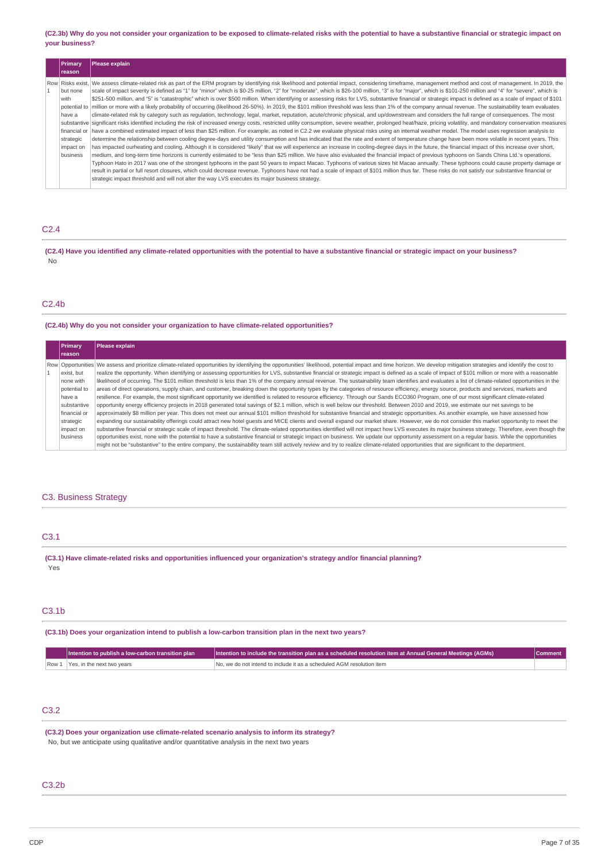(C2.3b) Why do you not consider your organization to be exposed to climate-related risks with the potential to have a substantive financial or strategic impact on **your business?**

| <b>Primary</b><br><b>reason</b>                                                  | Please explain                                                                                                                                                                                                                                                                                                                                                                                                                                                                                                                                                                                                                                                                                                                                                                                                                                                                                                                                                                                                                                                                                                                                                                                                                                                                                                                                                                                                                                                                                                                                                                                                                                                                                                                                                                                                                                                                                                                                                                                                                                                                                                                                                                                                                                                                                                                                                                                                                                                                                                                                                                                      |
|----------------------------------------------------------------------------------|-----------------------------------------------------------------------------------------------------------------------------------------------------------------------------------------------------------------------------------------------------------------------------------------------------------------------------------------------------------------------------------------------------------------------------------------------------------------------------------------------------------------------------------------------------------------------------------------------------------------------------------------------------------------------------------------------------------------------------------------------------------------------------------------------------------------------------------------------------------------------------------------------------------------------------------------------------------------------------------------------------------------------------------------------------------------------------------------------------------------------------------------------------------------------------------------------------------------------------------------------------------------------------------------------------------------------------------------------------------------------------------------------------------------------------------------------------------------------------------------------------------------------------------------------------------------------------------------------------------------------------------------------------------------------------------------------------------------------------------------------------------------------------------------------------------------------------------------------------------------------------------------------------------------------------------------------------------------------------------------------------------------------------------------------------------------------------------------------------------------------------------------------------------------------------------------------------------------------------------------------------------------------------------------------------------------------------------------------------------------------------------------------------------------------------------------------------------------------------------------------------------------------------------------------------------------------------------------------------|
| but none<br>with<br>have a<br>financial or<br>strategic<br>impact on<br>business | Row Risks exist, We assess climate-related risk as part of the ERM program by identifying risk likelihood and potential impact, considering timeframe, management method and cost of management. In 2019, the<br>scale of impact severity is defined as "1" for "minor" which is \$0-25 million, "2" for "moderate", which is \$26-100 million, "3" is for "major", which is \$101-250 million and "4" for "severe", which is<br>\$251-500 million, and "5" is "catastrophic" which is over \$500 million. When identifying or assessing risks for LVS, substantive financial or strategic impact is defined as a scale of impact of \$101<br>potential to   million or more with a likely probability of occurring (likelihood 26-50%). In 2019, the \$101 million threshold was less than 1% of the company annual revenue. The sustainability team evaluates<br>climate-related risk by category such as regulation, technology, legal, market, reputation, acute/chronic physical, and up/downstream and considers the full range of consequences. The most<br>substantive significant risks identified including the risk of increased energy costs, restricted utility consumption, severe weather, prolonged heat/haze, pricing volatility, and mandatory conservation measures<br>have a combined estimated impact of less than \$25 million. For example, as noted in C2.2 we evaluate physical risks using an internal weather model. The model uses regression analysis to<br>determine the relationship between cooling degree-days and utility consumption and has indicated that the rate and extent of temperature change have been more volatile in recent years. This<br>has impacted ourheating and cooling. Although it is considered "likely" that we will experience an increase in cooling-degree days in the future, the financial impact of this increase over short,<br>medium, and long-term time horizons is currently estimated to be "less than \$25 million. We have also evaluated the financial impact of previous typhoons on Sands China Ltd.'s operations.<br>Typhoon Hato in 2017 was one of the strongest typhoons in the past 50 years to impact Macao. Typhoons of various sizes hit Macao annually. These typhoons could cause property damage or<br>result in partial or full resort closures, which could decrease revenue. Typhoons have not had a scale of impact of \$101 million thus far. These risks do not satisfy our substantive financial or<br>strategic impact threshold and will not alter the way LVS executes its major business strategy. |

## C2.4

(C2.4) Have you identified any climate-related opportunities with the potential to have a substantive financial or strategic impact on your business? No

### C2.4b

### **(C2.4b) Why do you not consider your organization to have climate-related opportunities?**

| <b>Primary</b> | Please explain                                                                                                                                                                                                      |
|----------------|---------------------------------------------------------------------------------------------------------------------------------------------------------------------------------------------------------------------|
| Ireason        |                                                                                                                                                                                                                     |
|                | Row Opportunities We assess and prioritize climate-related opportunities by identifying the opportunities' likelihood, potential impact and time horizon. We develop mitigation strategies and identify the cost to |
| exist, but     | realize the opportunity. When identifying or assessing opportunities for LVS, substantive financial or strategic impact is defined as a scale of impact of \$101 million or more with a reasonable                  |
| none with      | likelihood of occurring. The \$101 million threshold is less than 1% of the company annual revenue. The sustainability team identifies and evaluates a list of climate-related opportunities in the                 |
| potential to   | areas of direct operations, supply chain, and customer, breaking down the opportunity types by the categories of resource efficiency, energy source, products and services, markets and                             |
| have a         | resilience. For example, the most significant opportunity we identified is related to resource efficiency. Through our Sands ECO360 Program, one of our most significant climate-related                            |
| substantive    | opportunity energy efficiency projects in 2018 generated total sayings of \$2.1 million, which is well below our threshold. Between 2010 and 2019, we estimate our net sayings to be                                |
| financial or   | approximately \$8 million per year. This does not meet our annual \$101 million threshold for substantive financial and strategic opportunities. As another example, we have assessed how                           |
| strategic      | expanding our sustainability offerings could attract new hotel quests and MICE clients and overall expand our market share. However, we do not consider this market opportunity to meet the                         |
| impact on      | substantive financial or strategic scale of impact threshold. The climate-related opportunities identified will not impact how LVS executes its major business strategy. Therefore, even though the                 |
| business       | opportunities exist, none with the potential to have a substantive financial or strategic impact on business. We update our opportunity assessment on a regular basis. While the opportunities                      |
|                | might not be "substantive" to the entire company, the sustainability team still actively review and try to realize climate-related opportunities that are significant to the department.                            |

## C3. Business Strategy

## C3.1

**(C3.1) Have climate-related risks and opportunities influenced your organization's strategy and/or financial planning?** Yes

## C3.1b

**(C3.1b) Does your organization intend to publish a low-carbon transition plan in the next two years?**

| $\blacksquare$ Intention to publish a low-carbon transition plan $\blacksquare$ | Intention to include the transition plan as a scheduled resolution item at Annual General Meetings (AGMs) | Comment |
|---------------------------------------------------------------------------------|-----------------------------------------------------------------------------------------------------------|---------|
| Row 1 Yes, in the next two years                                                | No, we do not intend to include it as a scheduled AGM resolution item                                     |         |

# C3.2

**(C3.2) Does your organization use climate-related scenario analysis to inform its strategy?** No, but we anticipate using qualitative and/or quantitative analysis in the next two years

### C3.2b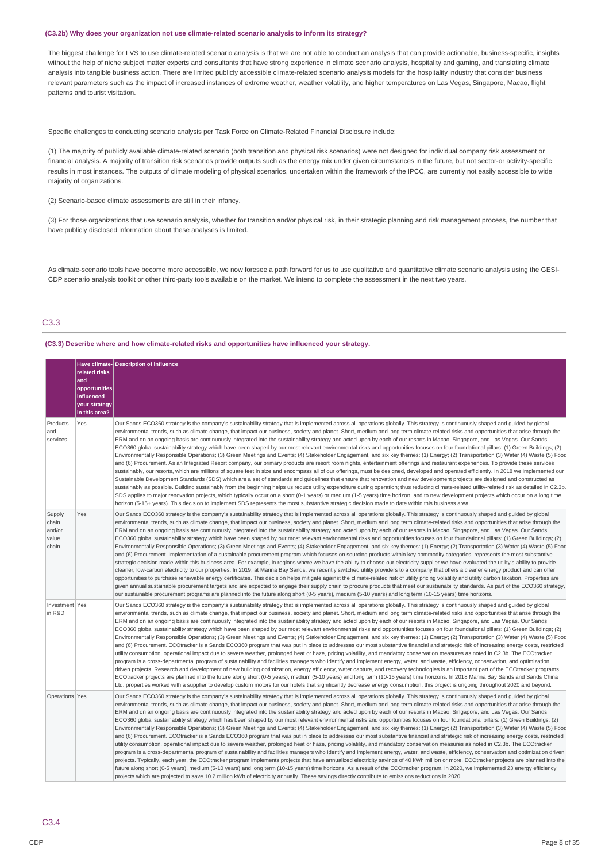#### **(C3.2b) Why does your organization not use climate-related scenario analysis to inform its strategy?**

The biggest challenge for LVS to use climate-related scenario analysis is that we are not able to conduct an analysis that can provide actionable, business-specific, insights without the help of niche subject matter experts and consultants that have strong experience in climate scenario analysis, hospitality and gaming, and translating climate analysis into tangible business action. There are limited publicly accessible climate-related scenario analysis models for the hospitality industry that consider business relevant parameters such as the impact of increased instances of extreme weather, weather volatility, and higher temperatures on Las Vegas, Singapore, Macao, flight patterns and tourist visitation.

Specific challenges to conducting scenario analysis per Task Force on Climate-Related Financial Disclosure include:

(1) The majority of publicly available climate-related scenario (both transition and physical risk scenarios) were not designed for individual company risk assessment or financial analysis. A majority of transition risk scenarios provide outputs such as the energy mix under given circumstances in the future, but not sector-or activity-specific results in most instances. The outputs of climate modeling of physical scenarios, undertaken within the framework of the IPCC, are currently not easily accessible to wide majority of organizations.

(2) Scenario-based climate assessments are still in their infancy.

(3) For those organizations that use scenario analysis, whether for transition and/or physical risk, in their strategic planning and risk management process, the number that have publicly disclosed information about these analyses is limited.

As climate-scenario tools have become more accessible, we now foresee a path forward for us to use qualitative and quantitative climate scenario analysis using the GESI-CDP scenario analysis toolkit or other third-party tools available on the market. We intend to complete the assessment in the next two years.

## C3.3

**(C3.3) Describe where and how climate-related risks and opportunities have influenced your strategy.**

| Products<br>and                             | related risks<br>and<br>opportunities<br>influenced<br>your strategy<br>in this area?<br>Yes | Have climate-Description of influence<br>Our Sands ECO360 strategy is the company's sustainability strategy that is implemented across all operations globally. This strategy is continuously shaped and guided by global<br>environmental trends, such as climate change, that impact our business, society and planet. Short, medium and long term climate-related risks and opportunities that arise through the                                                                                                                                                                                                                                                                                                                                                                                                                                                                                                                                                                                                                                                                                                                                                                                                                                                                                                                                                                                                                                                                                                                                                                                                                                                                                                                                                                                                                                                                                                                                                                                                                                                            |
|---------------------------------------------|----------------------------------------------------------------------------------------------|--------------------------------------------------------------------------------------------------------------------------------------------------------------------------------------------------------------------------------------------------------------------------------------------------------------------------------------------------------------------------------------------------------------------------------------------------------------------------------------------------------------------------------------------------------------------------------------------------------------------------------------------------------------------------------------------------------------------------------------------------------------------------------------------------------------------------------------------------------------------------------------------------------------------------------------------------------------------------------------------------------------------------------------------------------------------------------------------------------------------------------------------------------------------------------------------------------------------------------------------------------------------------------------------------------------------------------------------------------------------------------------------------------------------------------------------------------------------------------------------------------------------------------------------------------------------------------------------------------------------------------------------------------------------------------------------------------------------------------------------------------------------------------------------------------------------------------------------------------------------------------------------------------------------------------------------------------------------------------------------------------------------------------------------------------------------------------|
| services                                    |                                                                                              | ERM and on an ongoing basis are continuously integrated into the sustainability strategy and acted upon by each of our resorts in Macao, Singapore, and Las Vegas. Our Sands<br>ECO360 global sustainability strategy which have been shaped by our most relevant environmental risks and opportunities focuses on four foundational pillars: (1) Green Buildings; (2)<br>Environmentally Responsible Operations; (3) Green Meetings and Events; (4) Stakeholder Engagement, and six key themes: (1) Energy; (2) Transportation (3) Water (4) Waste (5) Food<br>and (6) Procurement. As an Integrated Resort company, our primary products are resort room nights, entertainment offerings and restaurant experiences. To provide these services<br>sustainably, our resorts, which are millions of square feet in size and encompass all of our offerings, must be designed, developed and operated efficiently. In 2018 we implemented our<br>Sustainable Development Standards (SDS) which are a set of standards and guidelines that ensure that renovation and new development projects are designed and constructed as<br>sustainably as possible. Building sustainably from the beginning helps us reduce utility expenditure during operation; thus reducing climate-related utility-related risk as detailed in C2.3b.<br>SDS applies to major renovation projects, which typically occur on a short (0-1 years) or medium (1-5 years) time horizon, and to new development projects which occur on a long time<br>horizon (5-15+ years). This decision to implement SDS represents the most substantive strategic decision made to date within this business area.                                                                                                                                                                                                                                                                                                                                                                                                   |
| Supply<br>chain<br>and/or<br>value<br>chain | Yes                                                                                          | Our Sands ECO360 strategy is the company's sustainability strategy that is implemented across all operations globally. This strategy is continuously shaped and guided by global<br>environmental trends, such as climate change, that impact our business, society and planet. Short, medium and long term climate-related risks and opportunities that arise through the<br>ERM and on an ongoing basis are continuously integrated into the sustainability strategy and acted upon by each of our resorts in Macao, Singapore, and Las Vegas. Our Sands<br>ECO360 global sustainability strategy which have been shaped by our most relevant environmental risks and opportunities focuses on four foundational pillars: (1) Green Buildings; (2)<br>Environmentally Responsible Operations; (3) Green Meetings and Events; (4) Stakeholder Engagement, and six key themes: (1) Energy; (2) Transportation (3) Water (4) Waste (5) Food<br>and (6) Procurement. Implementation of a sustainable procurement program which focuses on sourcing products within key commodity categories, represents the most substantive<br>strategic decision made within this business area. For example, in regions where we have the ability to choose our electricity supplier we have evaluated the utility's ability to provide<br>cleaner, low-carbon electricity to our properties. In 2019, at Marina Bay Sands, we recently switched utility providers to a company that offers a cleaner energy product and can offer<br>opportunities to purchase renewable energy certificates. This decision helps mitigate against the climate-related risk of utility pricing volatility and utility carbon taxation. Properties are<br>given annual sustainable procurement targets and are expected to engage their supply chain to procure products that meet our sustainability standards. As part of the ECO360 strategy,<br>our sustainable procurement programs are planned into the future along short (0-5 years), medium (5-10 years) and long term (10-15 years) time horizons.  |
| Investment Yes<br>in R&D                    |                                                                                              | Our Sands ECO360 strategy is the company's sustainability strategy that is implemented across all operations globally. This strategy is continuously shaped and guided by global<br>environmental trends, such as climate change, that impact our business, society and planet. Short, medium and long term climate-related risks and opportunities that arise through the<br>ERM and on an ongoing basis are continuously integrated into the sustainability strategy and acted upon by each of our resorts in Macao, Singapore, and Las Vegas. Our Sands<br>ECO360 global sustainability strategy which have been shaped by our most relevant environmental risks and opportunities focuses on four foundational pillars: (1) Green Buildings; (2)<br>Environmentally Responsible Operations; (3) Green Meetings and Events; (4) Stakeholder Engagement, and six key themes: (1) Energy; (2) Transportation (3) Water (4) Waste (5) Food<br>and (6) Procurement. ECOtracker is a Sands ECO360 program that was put in place to addresses our most substantive financial and strategic risk of increasing energy costs, restricted<br>utility consumption, operational impact due to severe weather, prolonged heat or haze, pricing volatility, and mandatory conservation measures as noted in C2.3b. The ECOtracker<br>program is a cross-departmental program of sustainability and facilities managers who identify and implement energy, water, and waste, efficiency, conservation, and optimization<br>driven projects. Research and development of new building optimization, energy efficiency, water capture, and recovery technologies is an important part of the ECOtracker programs.<br>ECOtracker projects are planned into the future along short (0-5 years), medium (5-10 years) and long term (10-15 years) time horizons. In 2018 Marina Bay Sands and Sands China<br>Ltd. properties worked with a supplier to develop custom motors for our hotels that significantly decrease energy consumption, this project is ongoing throughout 2020 and beyond. |
| Operations Yes                              |                                                                                              | Our Sands ECO360 strategy is the company's sustainability strategy that is implemented across all operations globally. This strategy is continuously shaped and guided by global<br>environmental trends, such as climate change, that impact our business, society and planet. Short, medium and long term climate-related risks and opportunities that arise through the<br>ERM and on an ongoing basis are continuously integrated into the sustainability strategy and acted upon by each of our resorts in Macao, Singapore, and Las Vegas. Our Sands<br>ECO360 global sustainability strategy which has been shaped by our most relevant environmental risks and opportunities focuses on four foundational pillars: (1) Green Buildings; (2)<br>Environmentally Responsible Operations; (3) Green Meetings and Events; (4) Stakeholder Engagement, and six key themes: (1) Energy; (2) Transportation (3) Water (4) Waste (5) Food<br>and (6) Procurement. ECOtracker is a Sands ECO360 program that was put in place to addresses our most substantive financial and strategic risk of increasing energy costs, restricted<br>utility consumption, operational impact due to severe weather, prolonged heat or haze, pricing volatility, and mandatory conservation measures as noted in C2.3b. The ECOtracker<br>program is a cross-departmental program of sustainability and facilities managers who identify and implement energy, water, and waste, efficiency, conservation and optimization driven<br>projects. Typically, each year, the ECOtracker program implements projects that have annualized electricity savings of 40 kWh million or more. ECOtracker projects are planned into the<br>future along short (0-5 years), medium (5-10 years) and long term (10-15 years) time horizons. As a result of the ECOtracker program, in 2020, we implemented 23 energy efficiency<br>projects which are projected to save 10.2 million kWh of electricity annually. These savings directly contribute to emissions reductions in 2020.                        |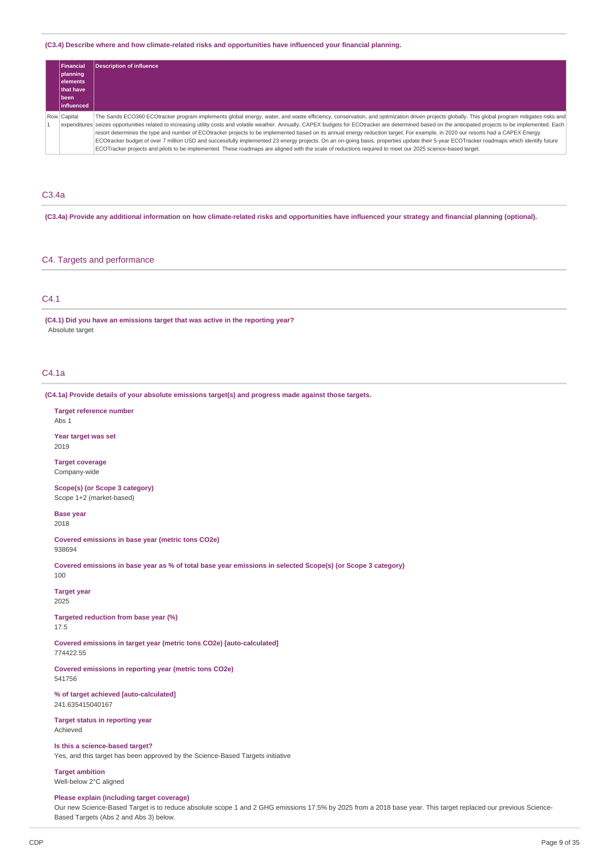## **(C3.4) Describe where and how climate-related risks and opportunities have influenced your financial planning.**

| Financial          | <b>Description of influence</b>                                                                                                                                                                             |
|--------------------|-------------------------------------------------------------------------------------------------------------------------------------------------------------------------------------------------------------|
| planning           |                                                                                                                                                                                                             |
| lelements          |                                                                                                                                                                                                             |
| <b>Ithat have</b>  |                                                                                                                                                                                                             |
| l been             |                                                                                                                                                                                                             |
| <b>linfluenced</b> |                                                                                                                                                                                                             |
| Row Capital        | The Sands ECO360 ECOtracker program implements global energy, water, and waste efficiency, conservation, and optimization driven projects globally. This global program mitigates risks and                 |
|                    | expenditures seizes opportunities related to increasing utility costs and volatile weather. Annually, CAPEX budgets for ECOtracker are determined based on the anticipated projects to be implemented. Each |
|                    | resort determines the type and number of ECOtracker projects to be implemented based on its annual energy reduction target. For example, in 2020 our resorts had a CAPEX Energy                             |
|                    | ECOtracker budget of over 7 million USD and successfully implemented 23 energy projects. On an on-going basis, properties update their 5-year ECOTracker roadmaps which identify future                     |
|                    | ECOTracker projects and pilots to be implemented. These roadmaps are aligned with the scale of reductions required to meet our 2025 science-based target.                                                   |

### C3.4a

(C3.4a) Provide any additional information on how climate-related risks and opportunities have influenced your strategy and financial planning (optional).

#### C4. Targets and performance

## C4.1

**(C4.1) Did you have an emissions target that was active in the reporting year?** Absolute target

#### C4.1a

**(C4.1a) Provide details of your absolute emissions target(s) and progress made against those targets.**

**Target reference number** Abs 1

**Year target was set** 2019

**Target coverage** Company-wide

**Scope(s) (or Scope 3 category)** Scope 1+2 (market-based)

**Base year**

2018

**Covered emissions in base year (metric tons CO2e)** 938694

Covered emissions in base year as % of total base year emissions in selected Scope(s) (or Scope 3 category) 100

**Target year** 2025

**Targeted reduction from base year (%)** 17.5

**Covered emissions in target year (metric tons CO2e) [auto-calculated]** 774422.55

**Covered emissions in reporting year (metric tons CO2e)** 541756

**% of target achieved [auto-calculated]** 241.635415040167

**Target status in reporting year** Achieved

**Is this a science-based target?**

Yes, and this target has been approved by the Science-Based Targets initiative

**Target ambition** Well-below 2°C aligned

#### **Please explain (including target coverage)**

Our new Science-Based Target is to reduce absolute scope 1 and 2 GHG emissions 17.5% by 2025 from a 2018 base year. This target replaced our previous Science-Based Targets (Abs 2 and Abs 3) below.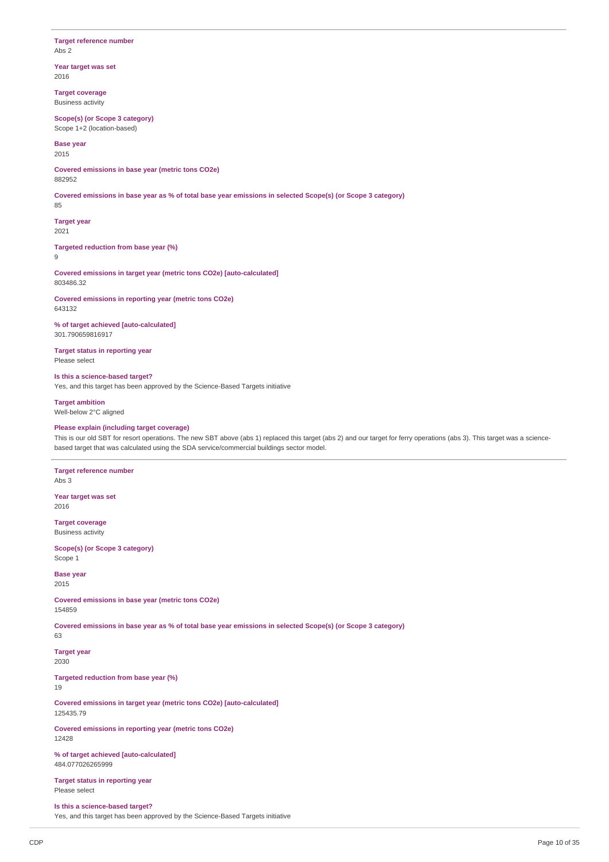### **Target reference number** Abs 2

**Year target was set** 2016

**Target coverage** Business activity

**Scope(s) (or Scope 3 category)** Scope 1+2 (location-based)

**Base year** 2015

**Covered emissions in base year (metric tons CO2e)** 882952

Covered emissions in base year as % of total base year emissions in selected Scope(s) (or Scope 3 category)

85

**Target year** 2021

**Targeted reduction from base year (%)** 9

**Covered emissions in target year (metric tons CO2e) [auto-calculated]** 803486.32

**Covered emissions in reporting year (metric tons CO2e)** 643132

**% of target achieved [auto-calculated]** 301.790659816917

**Target status in reporting year** Please select

**Is this a science-based target?** Yes, and this target has been approved by the Science-Based Targets initiative

**Target ambition** Well-below 2°C aligned

### **Please explain (including target coverage)**

This is our old SBT for resort operations. The new SBT above (abs 1) replaced this target (abs 2) and our target for ferry operations (abs 3). This target was a sciencebased target that was calculated using the SDA service/commercial buildings sector model.

**Target reference number** Abs 3

**Year target was set** 2016

**Target coverage** Business activity

**Scope(s) (or Scope 3 category)** Scope 1

**Base year** 2015

**Covered emissions in base year (metric tons CO2e)** 154859

Covered emissions in base year as % of total base year emissions in selected Scope(s) (or Scope 3 category)

63

**Target year** 2030

**Targeted reduction from base year (%)**

19

**Covered emissions in target year (metric tons CO2e) [auto-calculated]** 125435.79

**Covered emissions in reporting year (metric tons CO2e)** 12428

**% of target achieved [auto-calculated]** 484.077026265999

**Target status in reporting year** Please select

**Is this a science-based target?** Yes, and this target has been approved by the Science-Based Targets initiative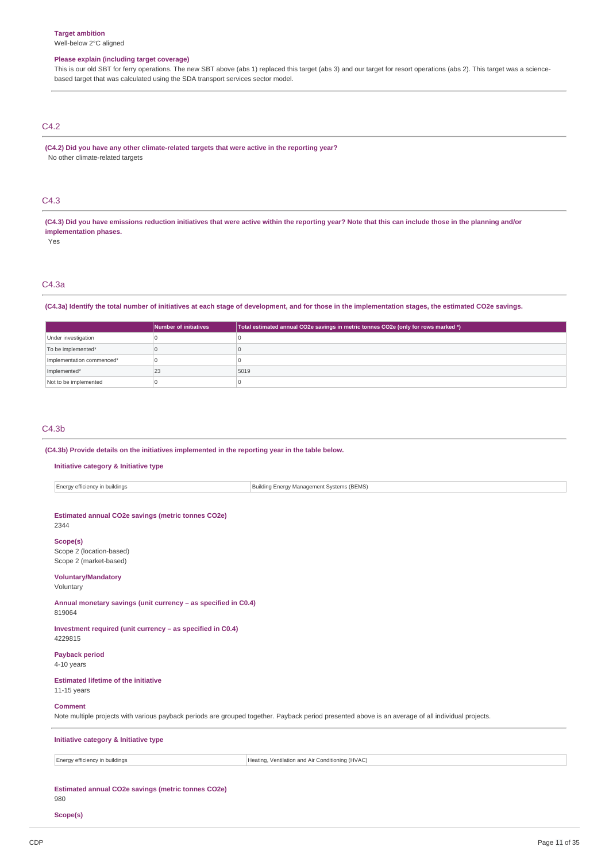## **Please explain (including target coverage)**

This is our old SBT for ferry operations. The new SBT above (abs 1) replaced this target (abs 3) and our target for resort operations (abs 2). This target was a sciencebased target that was calculated using the SDA transport services sector model.

### C4.2

**(C4.2) Did you have any other climate-related targets that were active in the reporting year?** No other climate-related targets

## C4.3

(C4.3) Did you have emissions reduction initiatives that were active within the reporting year? Note that this can include those in the planning and/or **implementation phases.**

Yes

# C4.3a

(C4.3a) Identify the total number of initiatives at each stage of development, and for those in the implementation stages, the estimated CO2e savings.

|                           | Number of initiatives | Total estimated annual CO2e savings in metric tonnes CO2e (only for rows marked *) |
|---------------------------|-----------------------|------------------------------------------------------------------------------------|
| Under investigation       |                       |                                                                                    |
| To be implemented*        |                       |                                                                                    |
| Implementation commenced* |                       |                                                                                    |
| Implemented*              | 23                    | 5019                                                                               |
| Not to be implemented     |                       |                                                                                    |

#### C4.3b

### **(C4.3b) Provide details on the initiatives implemented in the reporting year in the table below.**

### **Initiative category & Initiative type**

| Energy efficiency in buildings                                                                                                                                       | Building Energy Management Systems (BEMS)        |  |  |  |  |  |
|----------------------------------------------------------------------------------------------------------------------------------------------------------------------|--------------------------------------------------|--|--|--|--|--|
|                                                                                                                                                                      |                                                  |  |  |  |  |  |
| Estimated annual CO2e savings (metric tonnes CO2e)<br>2344                                                                                                           |                                                  |  |  |  |  |  |
| Scope(s)<br>Scope 2 (location-based)<br>Scope 2 (market-based)                                                                                                       |                                                  |  |  |  |  |  |
| <b>Voluntary/Mandatory</b><br>Voluntary                                                                                                                              |                                                  |  |  |  |  |  |
| Annual monetary savings (unit currency - as specified in C0.4)<br>819064                                                                                             |                                                  |  |  |  |  |  |
| Investment required (unit currency - as specified in C0.4)<br>4229815                                                                                                |                                                  |  |  |  |  |  |
| <b>Payback period</b><br>4-10 years                                                                                                                                  |                                                  |  |  |  |  |  |
| <b>Estimated lifetime of the initiative</b><br>$11-15$ years                                                                                                         |                                                  |  |  |  |  |  |
| <b>Comment</b><br>Note multiple projects with various payback periods are grouped together. Payback period presented above is an average of all individual projects. |                                                  |  |  |  |  |  |
| Initiative category & Initiative type                                                                                                                                |                                                  |  |  |  |  |  |
| Energy efficiency in buildings                                                                                                                                       | Heating, Ventilation and Air Conditioning (HVAC) |  |  |  |  |  |
|                                                                                                                                                                      |                                                  |  |  |  |  |  |

## **Estimated annual CO2e savings (metric tonnes CO2e)**

980

**Scope(s)**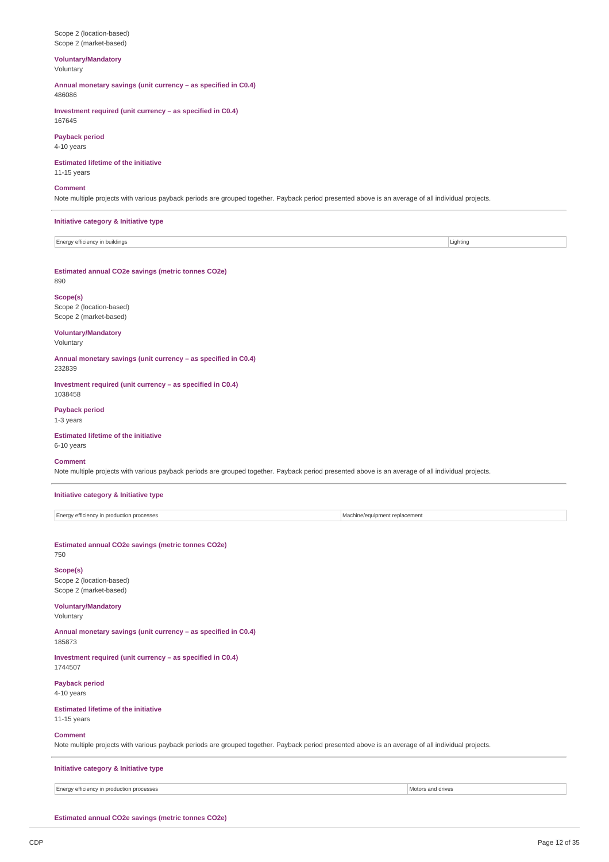#### Scope 2 (location-based) Scope 2 (market-based)

### **Voluntary/Mandatory** Voluntary

**Annual monetary savings (unit currency – as specified in C0.4)** 486086

**Investment required (unit currency – as specified in C0.4)** 167645

### **Payback period**

4-10 years

### **Estimated lifetime of the initiative**

11-15 years

## **Comment**

Note multiple projects with various payback periods are grouped together. Payback period presented above is an average of all individual projects.

## **Initiative category & Initiative type**

| -<br>⊤ Energy efficienc:<br>buildings | .iahtino |
|---------------------------------------|----------|

#### **Estimated annual CO2e savings (metric tonnes CO2e)**

890

### **Scope(s)** Scope 2 (location-based) Scope 2 (market-based)

### **Voluntary/Mandatory**

Voluntary

**Annual monetary savings (unit currency – as specified in C0.4)** 232839

**Investment required (unit currency – as specified in C0.4)** 1038458

**Payback period** 1-3 years

### **Estimated lifetime of the initiative** 6-10 years

### **Comment**

Note multiple projects with various payback periods are grouped together. Payback period presented above is an average of all individual projects.

### **Initiative category & Initiative type**

Energy efficiency in production processes Machine/equipment replacement

### **Estimated annual CO2e savings (metric tonnes CO2e)** 750

# **Scope(s)**

Scope 2 (location-based) Scope 2 (market-based)

### **Voluntary/Mandatory**

### Voluntary

**Annual monetary savings (unit currency – as specified in C0.4)** 185873

**Investment required (unit currency – as specified in C0.4)** 1744507

**Payback period** 4-10 years

# **Estimated lifetime of the initiative**

11-15 years

### **Comment**

Note multiple projects with various payback periods are grouped together. Payback period presented above is an average of all individual projects.

### **Initiative category & Initiative type**

Energy efficiency in production processes Motors and drives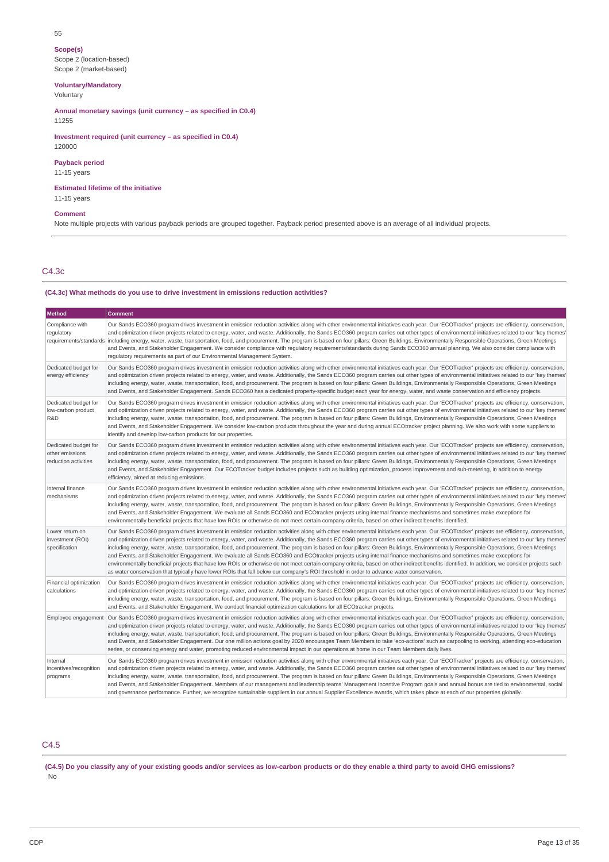#### 55

**Scope(s)**

Scope 2 (location-based) Scope 2 (market-based)

**Voluntary/Mandatory**

Voluntary

**Annual monetary savings (unit currency – as specified in C0.4)** 11255

**Investment required (unit currency – as specified in C0.4)** 120000

# **Payback period**

11-15 years

**Estimated lifetime of the initiative** 11-15 years

#### **Comment**

Note multiple projects with various payback periods are grouped together. Payback period presented above is an average of all individual projects.

### C4.3c

#### **(C4.3c) What methods do you use to drive investment in emissions reduction activities?**

| <b>Method</b>                                                   | <b>Comment</b>                                                                                                                                                                                                                                                                                                                                                                                                                                                                                                                                                                                                                                                                                                                                                                                                                                                                                                                                                                                                                                                                                      |
|-----------------------------------------------------------------|-----------------------------------------------------------------------------------------------------------------------------------------------------------------------------------------------------------------------------------------------------------------------------------------------------------------------------------------------------------------------------------------------------------------------------------------------------------------------------------------------------------------------------------------------------------------------------------------------------------------------------------------------------------------------------------------------------------------------------------------------------------------------------------------------------------------------------------------------------------------------------------------------------------------------------------------------------------------------------------------------------------------------------------------------------------------------------------------------------|
| Compliance with<br>regulatory                                   | Our Sands ECO360 program drives investment in emission reduction activities along with other environmental initiatives each year. Our 'ECOTracker' projects are efficiency, conservation,<br>and optimization driven projects related to energy, water, and waste. Additionally, the Sands ECO360 program carries out other types of environmental initiatives related to our 'key themes'<br>requirements/standards including energy, water, waste, transportation, food, and procurement. The program is based on four pillars: Green Buildings, Environmentally Responsible Operations, Green Meetings<br>and Events, and Stakeholder Engagement. We consider compliance with regulatory requirements/standards during Sands ECO360 annual planning. We also consider compliance with<br>requlatory requirements as part of our Environmental Management System.                                                                                                                                                                                                                                 |
| Dedicated budget for<br>energy efficiency                       | Our Sands ECO360 program drives investment in emission reduction activities along with other environmental initiatives each year. Our 'ECOTracker' projects are efficiency, conservation,<br>and optimization driven projects related to energy, water, and waste. Additionally, the Sands ECO360 program carries out other types of environmental initiatives related to our 'key themes'<br>including energy, water, waste, transportation, food, and procurement. The program is based on four pillars: Green Buildings, Environmentally Responsible Operations, Green Meetings<br>and Events, and Stakeholder Engagement. Sands ECO360 has a dedicated property-specific budget each year for energy, water, and waste conservation and efficiency projects.                                                                                                                                                                                                                                                                                                                                    |
| Dedicated budget for<br>low-carbon product<br>R&D               | Our Sands ECO360 program drives investment in emission reduction activities along with other environmental initiatives each year. Our 'ECOTracker' projects are efficiency, conservation,<br>and optimization driven projects related to energy, water, and waste. Additionally, the Sands ECO360 program carries out other types of environmental initiatives related to our 'key themes'<br>including energy, water, waste, transportation, food, and procurement. The program is based on four pillars: Green Buildings, Environmentally Responsible Operations, Green Meetings<br>and Events, and Stakeholder Engagement. We consider low-carbon products throughout the year and during annual ECOtracker project planning. We also work with some suppliers to<br>identify and develop low-carbon products for our properties.                                                                                                                                                                                                                                                                |
| Dedicated budget for<br>other emissions<br>reduction activities | Our Sands ECO360 program drives investment in emission reduction activities along with other environmental initiatives each year. Our 'ECOTracker' projects are efficiency, conservation,<br>and optimization driven projects related to energy, water, and waste. Additionally, the Sands ECO360 program carries out other types of environmental initiatives related to our 'key themes'<br>including energy, water, waste, transportation, food, and procurement. The program is based on four pillars: Green Buildings, Environmentally Responsible Operations, Green Meetings<br>and Events, and Stakeholder Engagement. Our ECOTracker budget includes projects such as building optimization, process improvement and sub-metering, in addition to energy<br>efficiency, aimed at reducing emissions.                                                                                                                                                                                                                                                                                        |
| Internal finance<br>mechanisms                                  | Our Sands ECO360 program drives investment in emission reduction activities along with other environmental initiatives each year. Our 'ECOTracker' projects are efficiency, conservation,<br>and optimization driven projects related to energy, water, and waste. Additionally, the Sands ECO360 program carries out other types of environmental initiatives related to our 'key themes'<br>including energy, water, waste, transportation, food, and procurement. The program is based on four pillars: Green Buildings, Environmentally Responsible Operations, Green Meetings<br>and Events, and Stakeholder Engagement. We evaluate all Sands ECO360 and ECOtracker projects using internal finance mechanisms and sometimes make exceptions for<br>environmentally beneficial projects that have low ROIs or otherwise do not meet certain company criteria, based on other indirect benefits identified.                                                                                                                                                                                    |
| Lower return on<br>investment (ROI)<br>specification            | Our Sands ECO360 program drives investment in emission reduction activities along with other environmental initiatives each year. Our 'ECOTracker' projects are efficiency, conservation,<br>and optimization driven projects related to energy, water, and waste. Additionally, the Sands ECO360 program carries out other types of environmental initiatives related to our 'key themes'<br>including energy, water, waste, transportation, food, and procurement. The program is based on four pillars: Green Buildings, Environmentally Responsible Operations, Green Meetings<br>and Events, and Stakeholder Engagement. We evaluate all Sands ECO360 and ECOtracker projects using internal finance mechanisms and sometimes make exceptions for<br>environmentally beneficial projects that have low ROIs or otherwise do not meet certain company criteria, based on other indirect benefits identified. In addition, we consider projects such<br>as water conservation that typically have lower ROIs that fall below our company's ROI threshold in order to advance water conservation. |
| Financial optimization<br>calculations                          | Our Sands ECO360 program drives investment in emission reduction activities along with other environmental initiatives each year. Our 'ECOTracker' projects are efficiency, conservation,<br>and optimization driven projects related to energy, water, and waste. Additionally, the Sands ECO360 program carries out other types of environmental initiatives related to our 'key themes'<br>including energy, water, waste, transportation, food, and procurement. The program is based on four pillars: Green Buildings, Environmentally Responsible Operations, Green Meetings<br>and Events, and Stakeholder Engagement. We conduct financial optimization calculations for all ECOtracker projects.                                                                                                                                                                                                                                                                                                                                                                                           |
| Employee engagement                                             | Our Sands ECO360 program drives investment in emission reduction activities along with other environmental initiatives each year. Our 'ECOTracker' projects are efficiency, conservation,<br>and optimization driven projects related to energy, water, and waste. Additionally, the Sands ECO360 program carries out other types of environmental initiatives related to our 'key themes'<br>including energy, water, waste, transportation, food, and procurement. The program is based on four pillars: Green Buildings, Environmentally Responsible Operations, Green Meetings<br>and Events, and Stakeholder Engagement. Our one million actions goal by 2020 encourages Team Members to take 'eco-actions' such as carpooling to working, attending eco-education<br>series, or conserving energy and water, promoting reduced environmental impact in our operations at home in our Team Members daily lives.                                                                                                                                                                                |
| Internal<br>incentives/recognition<br>programs                  | Our Sands ECO360 program drives investment in emission reduction activities along with other environmental initiatives each year. Our 'ECOTracker' projects are efficiency, conservation,<br>and optimization driven projects related to energy, water, and waste. Additionally, the Sands ECO360 program carries out other types of environmental initiatives related to our 'key themes'<br>including energy, water, waste, transportation, food, and procurement. The program is based on four pillars: Green Buildings, Environmentally Responsible Operations, Green Meetings<br>and Events, and Stakeholder Engagement. Members of our management and leadership teams' Management Incentive Program goals and annual bonus are tied to environmental, social<br>and governance performance. Further, we recognize sustainable suppliers in our annual Supplier Excellence awards, which takes place at each of our properties globally.                                                                                                                                                      |

# C4.5

(C4.5) Do you classify any of your existing goods and/or services as low-carbon products or do they enable a third party to avoid GHG emissions? No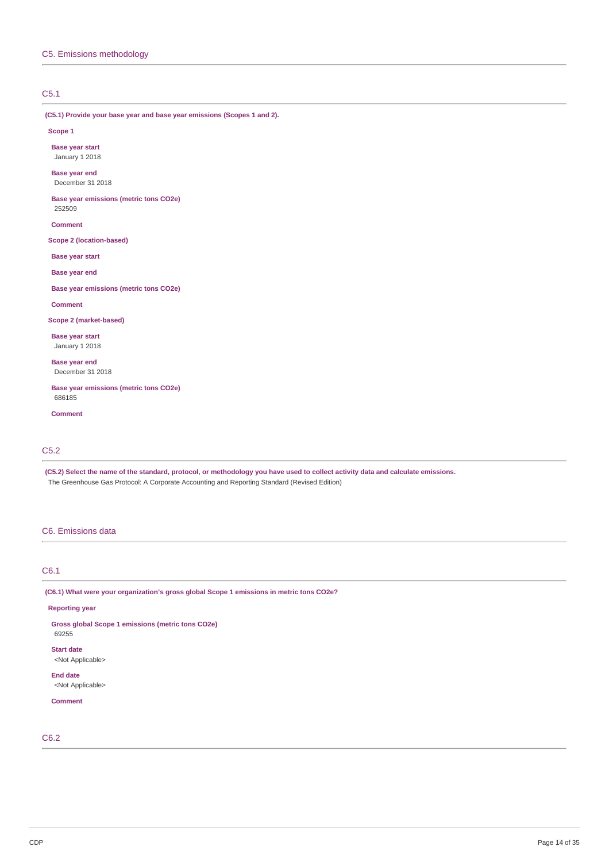## C5.1

**(C5.1) Provide your base year and base year emissions (Scopes 1 and 2).**

#### **Scope 1**

**Base year start** January 1 2018

**Base year end** December 31 2018

**Base year emissions (metric tons CO2e)** 252509

**Comment**

**Scope 2 (location-based)**

**Base year start**

**Base year end**

**Base year emissions (metric tons CO2e)**

#### **Comment**

**Scope 2 (market-based)**

**Base year start** January 1 2018

**Base year end** December 31 2018

**Base year emissions (metric tons CO2e)** 686185

**Comment**

## C5.2

(C5.2) Select the name of the standard, protocol, or methodology you have used to collect activity data and calculate emissions. The Greenhouse Gas Protocol: A Corporate Accounting and Reporting Standard (Revised Edition)

### C6. Emissions data

C6.1

**(C6.1) What were your organization's gross global Scope 1 emissions in metric tons CO2e?**

### **Reporting year**

**Gross global Scope 1 emissions (metric tons CO2e)**

69255

**Start date** <Not Applicable>

**End date**

<Not Applicable>

**Comment**

C6.2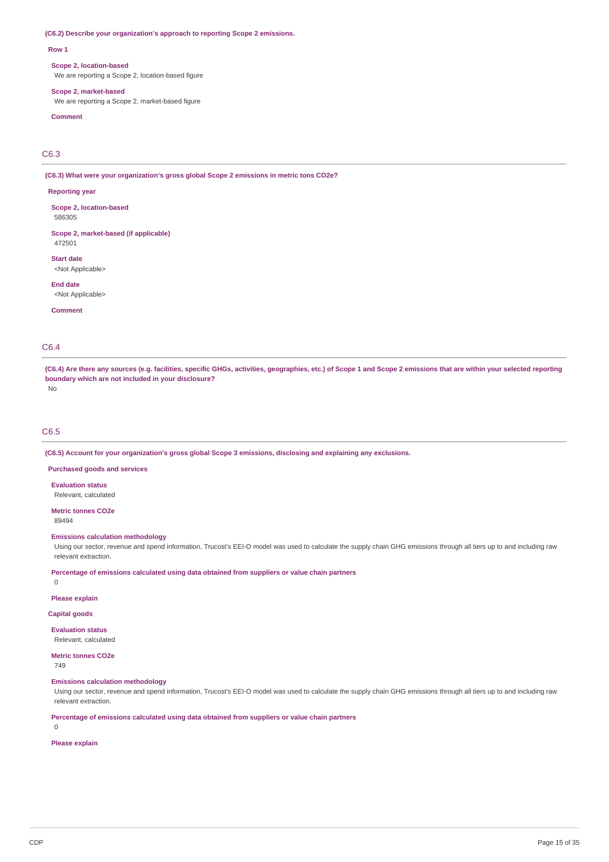#### **(C6.2) Describe your organization's approach to reporting Scope 2 emissions.**

#### **Row 1**

#### **Scope 2, location-based**

We are reporting a Scope 2, location-based figure

#### **Scope 2, market-based**

We are reporting a Scope 2, market-based figure

## **Comment**

C6.3

**(C6.3) What were your organization's gross global Scope 2 emissions in metric tons CO2e?**

#### **Reporting year**

**Scope 2, location-based** 586305

**Scope 2, market-based (if applicable)** 472501

**Start date**

<Not Applicable>

**End date** <Not Applicable>

**Comment**

## C6.4

(C6.4) Are there any sources (e.g. facilities, specific GHGs, activities, geographies, etc.) of Scope 1 and Scope 2 emissions that are within your selected reporting **boundary which are not included in your disclosure?** No

## C6.5

**(C6.5) Account for your organization's gross global Scope 3 emissions, disclosing and explaining any exclusions.**

**Purchased goods and services**

#### **Evaluation status**

Relevant, calculated

**Metric tonnes CO2e**

89494

#### **Emissions calculation methodology**

Using our sector, revenue and spend information, Trucost's EEI-O model was used to calculate the supply chain GHG emissions through all tiers up to and including raw relevant extraction.

**Percentage of emissions calculated using data obtained from suppliers or value chain partners**

0

**Please explain**

**Capital goods**

**Evaluation status** Relevant, calculated

**Metric tonnes CO2e**

749

**Emissions calculation methodology**

Using our sector, revenue and spend information, Trucost's EEI-O model was used to calculate the supply chain GHG emissions through all tiers up to and including raw relevant extraction.

**Percentage of emissions calculated using data obtained from suppliers or value chain partners**

0

**Please explain**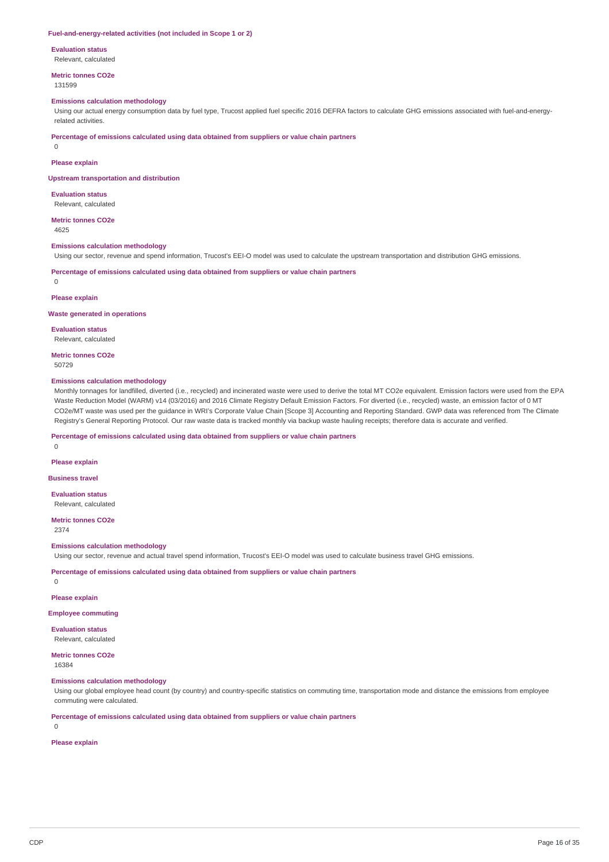#### **Fuel-and-energy-related activities (not included in Scope 1 or 2)**

#### **Evaluation status**

Relevant, calculated

# **Metric tonnes CO2e**

131599

### **Emissions calculation methodology**

Using our actual energy consumption data by fuel type, Trucost applied fuel specific 2016 DEFRA factors to calculate GHG emissions associated with fuel-and-energyrelated activities.

**Percentage of emissions calculated using data obtained from suppliers or value chain partners**

0

### **Please explain**

**Upstream transportation and distribution**

**Evaluation status** Relevant, calculated

**Metric tonnes CO2e** 4625

### **Emissions calculation methodology**

Using our sector, revenue and spend information, Trucost's EEI-O model was used to calculate the upstream transportation and distribution GHG emissions.

**Percentage of emissions calculated using data obtained from suppliers or value chain partners**

 $\theta$ 

#### **Please explain**

#### **Waste generated in operations**

**Evaluation status** Relevant, calculated

**Metric tonnes CO2e** 50729

#### **Emissions calculation methodology**

Monthly tonnages for landfilled, diverted (i.e., recycled) and incinerated waste were used to derive the total MT CO2e equivalent. Emission factors were used from the EPA Waste Reduction Model (WARM) v14 (03/2016) and 2016 Climate Registry Default Emission Factors. For diverted (i.e., recycled) waste, an emission factor of 0 MT CO2e/MT waste was used per the guidance in WRI's Corporate Value Chain [Scope 3] Accounting and Reporting Standard. GWP data was referenced from The Climate Registry's General Reporting Protocol. Our raw waste data is tracked monthly via backup waste hauling receipts; therefore data is accurate and verified.

**Percentage of emissions calculated using data obtained from suppliers or value chain partners**

## **Please explain**

 $\Omega$ 

**Business travel**

**Evaluation status** Relevant, calculated

**Metric tonnes CO2e** 2374

#### **Emissions calculation methodology**

Using our sector, revenue and actual travel spend information, Trucost's EEI-O model was used to calculate business travel GHG emissions.

**Percentage of emissions calculated using data obtained from suppliers or value chain partners**

 $\Omega$ 

#### **Please explain**

**Employee commuting**

#### **Evaluation status**

Relevant, calculated

## **Metric tonnes CO2e**

16384

### **Emissions calculation methodology**

Using our global employee head count (by country) and country-specific statistics on commuting time, transportation mode and distance the emissions from employee commuting were calculated.

**Percentage of emissions calculated using data obtained from suppliers or value chain partners**

0

### **Please explain**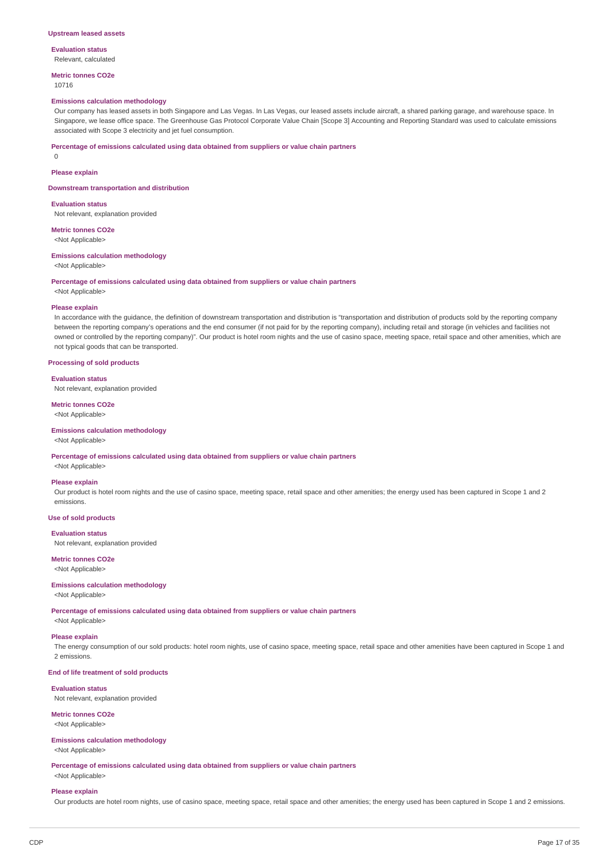#### **Upstream leased assets**

**Evaluation status** Relevant, calculated

**Metric tonnes CO2e**

## 10716

### **Emissions calculation methodology**

Our company has leased assets in both Singapore and Las Vegas. In Las Vegas, our leased assets include aircraft, a shared parking garage, and warehouse space. In Singapore, we lease office space. The Greenhouse Gas Protocol Corporate Value Chain [Scope 3] Accounting and Reporting Standard was used to calculate emissions associated with Scope 3 electricity and jet fuel consumption.

### **Percentage of emissions calculated using data obtained from suppliers or value chain partners**

 $\Omega$ 

## **Please explain**

**Downstream transportation and distribution**

### **Evaluation status**

Not relevant, explanation provided

# **Metric tonnes CO2e**

<Not Applicable>

## **Emissions calculation methodology**

<Not Applicable>

### **Percentage of emissions calculated using data obtained from suppliers or value chain partners**

<Not Applicable>

### **Please explain**

In accordance with the guidance, the definition of downstream transportation and distribution is "transportation and distribution of products sold by the reporting company between the reporting company's operations and the end consumer (if not paid for by the reporting company), including retail and storage (in vehicles and facilities not owned or controlled by the reporting company)". Our product is hotel room nights and the use of casino space, meeting space, retail space and other amenities, which are not typical goods that can be transported.

### **Processing of sold products**

#### **Evaluation status**

Not relevant, explanation provided

#### **Metric tonnes CO2e**

<Not Applicable>

#### **Emissions calculation methodology**

<Not Applicable>

**Percentage of emissions calculated using data obtained from suppliers or value chain partners**

# <Not Applicable> **Please explain**

Our product is hotel room nights and the use of casino space, meeting space, retail space and other amenities; the energy used has been captured in Scope 1 and 2 emissions.

#### **Use of sold products**

#### **Evaluation status**

Not relevant, explanation provided

## **Metric tonnes CO2e**

<Not Applicable>

### **Emissions calculation methodology**

<Not Applicable>

**Percentage of emissions calculated using data obtained from suppliers or value chain partners**

# <Not Applicable>

## **Please explain**

The energy consumption of our sold products: hotel room nights, use of casino space, meeting space, retail space and other amenities have been captured in Scope 1 and 2 emissions.

## **End of life treatment of sold products**

## **Evaluation status**

Not relevant, explanation provided

# **Metric tonnes CO2e**

<Not Applicable>

## **Emissions calculation methodology**

<Not Applicable>

**Percentage of emissions calculated using data obtained from suppliers or value chain partners** <Not Applicable>

#### **Please explain**

Our products are hotel room nights, use of casino space, meeting space, retail space and other amenities; the energy used has been captured in Scope 1 and 2 emissions.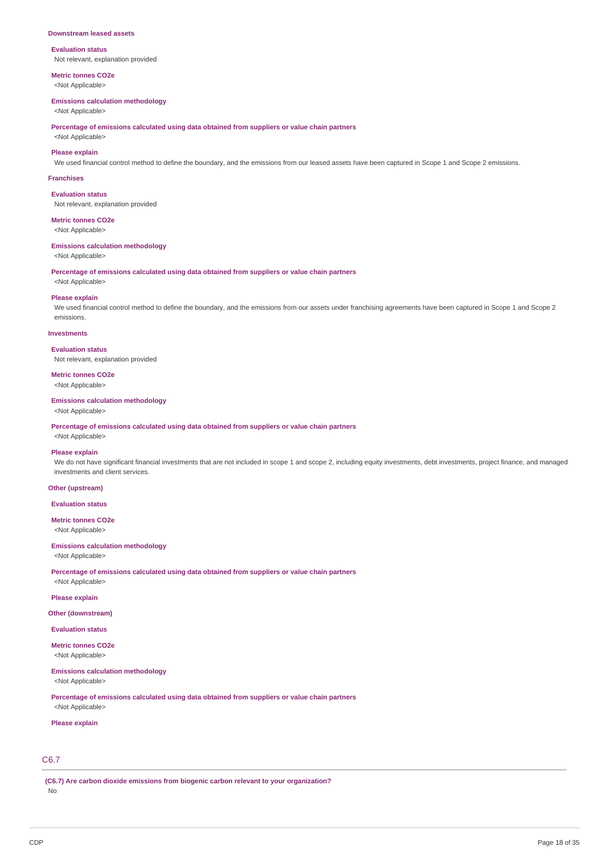#### **Downstream leased assets**

### **Evaluation status** Not relevant, explanation provided

**Metric tonnes CO2e**

<Not Applicable>

### **Emissions calculation methodology**

<Not Applicable>

**Percentage of emissions calculated using data obtained from suppliers or value chain partners**

<Not Applicable> **Please explain**

We used financial control method to define the boundary, and the emissions from our leased assets have been captured in Scope 1 and Scope 2 emissions.

#### **Franchises**

**Evaluation status** Not relevant, explanation provided

### **Metric tonnes CO2e**

<Not Applicable>

#### **Emissions calculation methodology**

<Not Applicable>

**Percentage of emissions calculated using data obtained from suppliers or value chain partners**

# <Not Applicable> **Please explain**

We used financial control method to define the boundary, and the emissions from our assets under franchising agreements have been captured in Scope 1 and Scope 2 emissions.

### **Investments**

**Evaluation status**

Not relevant, explanation provided

# **Metric tonnes CO2e**

<Not Applicable>

### **Emissions calculation methodology**

<Not Applicable>

**Percentage of emissions calculated using data obtained from suppliers or value chain partners**

# <Not Applicable>

### **Please explain**

We do not have significant financial investments that are not included in scope 1 and scope 2, including equity investments, debt investments, project finance, and managed investments and client services.

### **Other (upstream)**

**Evaluation status**

### **Metric tonnes CO2e** <Not Applicable>

### **Emissions calculation methodology**

<Not Applicable>

**Percentage of emissions calculated using data obtained from suppliers or value chain partners** <Not Applicable>

### **Please explain**

### **Other (downstream)**

**Evaluation status**

**Metric tonnes CO2e**

# <Not Applicable>

## **Emissions calculation methodology**

<Not Applicable>

**Percentage of emissions calculated using data obtained from suppliers or value chain partners** <Not Applicable>

### **Please explain**

# C6.7

**(C6.7) Are carbon dioxide emissions from biogenic carbon relevant to your organization?** No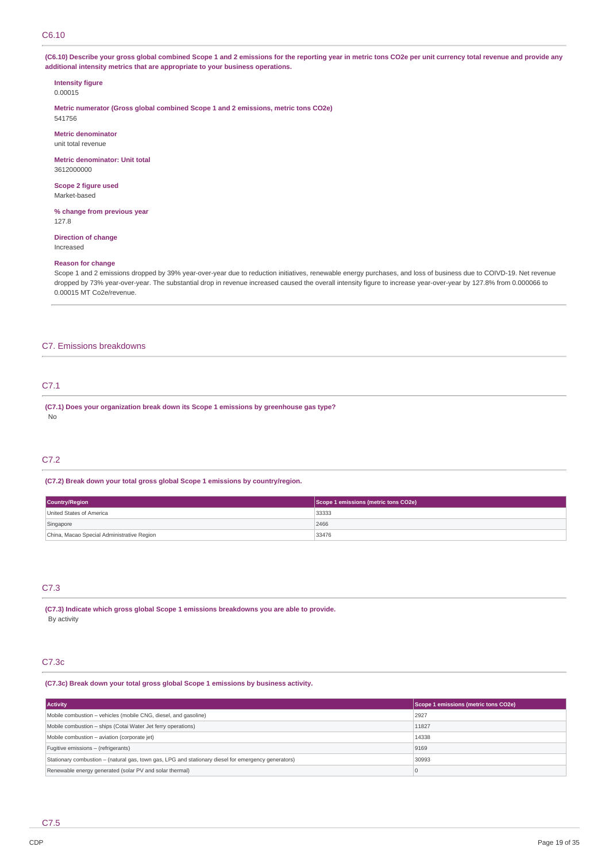## C6.10

(C6.10) Describe your gross global combined Scope 1 and 2 emissions for the reporting year in metric tons CO2e per unit currency total revenue and provide any **additional intensity metrics that are appropriate to your business operations.**

## **Intensity figure**

0.00015

**Metric numerator (Gross global combined Scope 1 and 2 emissions, metric tons CO2e)** 541756

**Metric denominator** unit total revenue

**Metric denominator: Unit total** 3612000000

**Scope 2 figure used** Market-based

**% change from previous year** 127.8

# **Direction of change**

Increased

## **Reason for change**

Scope 1 and 2 emissions dropped by 39% year-over-year due to reduction initiatives, renewable energy purchases, and loss of business due to COIVD-19. Net revenue dropped by 73% year-over-year. The substantial drop in revenue increased caused the overall intensity figure to increase year-over-year by 127.8% from 0.000066 to 0.00015 MT Co2e/revenue.

### C7. Emissions breakdowns

# C7.1

**(C7.1) Does your organization break down its Scope 1 emissions by greenhouse gas type?** No

### C7.2

**(C7.2) Break down your total gross global Scope 1 emissions by country/region.**

| Country/Region                             | Scope 1 emissions (metric tons CO2e) |
|--------------------------------------------|--------------------------------------|
| United States of America                   | 33333                                |
| Singapore                                  | 2466                                 |
| China, Macao Special Administrative Region | 33476                                |

# C7.3

**(C7.3) Indicate which gross global Scope 1 emissions breakdowns you are able to provide.** By activity

## C7.3c

**(C7.3c) Break down your total gross global Scope 1 emissions by business activity.**

| <b>Activity</b>                                                                                     | Scope 1 emissions (metric tons CO2e) |
|-----------------------------------------------------------------------------------------------------|--------------------------------------|
| Mobile combustion - vehicles (mobile CNG, diesel, and gasoline)                                     | 2927                                 |
| Mobile combustion - ships (Cotai Water Jet ferry operations)                                        | 11827                                |
| Mobile combustion - aviation (corporate jet)                                                        | 14338                                |
| Fugitive emissions - (refrigerants)                                                                 | 9169                                 |
| Stationary combustion - (natural gas, town gas, LPG and stationary diesel for emergency generators) | 30993                                |
| Renewable energy generated (solar PV and solar thermal)                                             |                                      |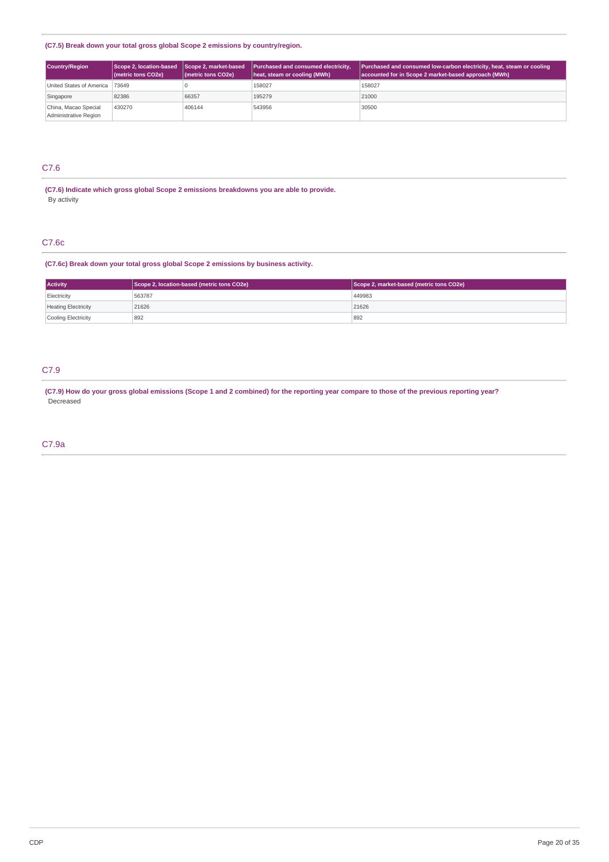### **(C7.5) Break down your total gross global Scope 2 emissions by country/region.**

| <b>Country/Region</b>                         | Scope 2, location-based Scope 2, market-based<br>(metric tons CO2e) | (metric tons CO2e) | Purchased and consumed electricity,<br>heat, steam or cooling (MWh) | <b>Purchased and consumed low-carbon electricity, heat, steam or cooling</b><br>accounted for in Scope 2 market-based approach (MWh) |
|-----------------------------------------------|---------------------------------------------------------------------|--------------------|---------------------------------------------------------------------|--------------------------------------------------------------------------------------------------------------------------------------|
| United States of America 73649                |                                                                     |                    | 158027                                                              | 158027                                                                                                                               |
| Singapore                                     | 82386                                                               | 66357              | 195279                                                              | 21000                                                                                                                                |
| China, Macao Special<br>Administrative Region | 430270                                                              | 406144             | 543956                                                              | 30500                                                                                                                                |

# C7.6

**(C7.6) Indicate which gross global Scope 2 emissions breakdowns you are able to provide.** By activity

## C7.6c

## **(C7.6c) Break down your total gross global Scope 2 emissions by business activity.**

| <b>Activity</b>            | Scope 2, location-based (metric tons CO2e) | Scope 2, market-based (metric tons CO2e) |  |
|----------------------------|--------------------------------------------|------------------------------------------|--|
| Electricity                | 563787                                     | 449983                                   |  |
| <b>Heating Electricity</b> | 21626                                      | 21626                                    |  |
| Cooling Electricity        | 892                                        | 892                                      |  |

# C7.9

(C7.9) How do your gross global emissions (Scope 1 and 2 combined) for the reporting year compare to those of the previous reporting year? Decreased

## C7.9a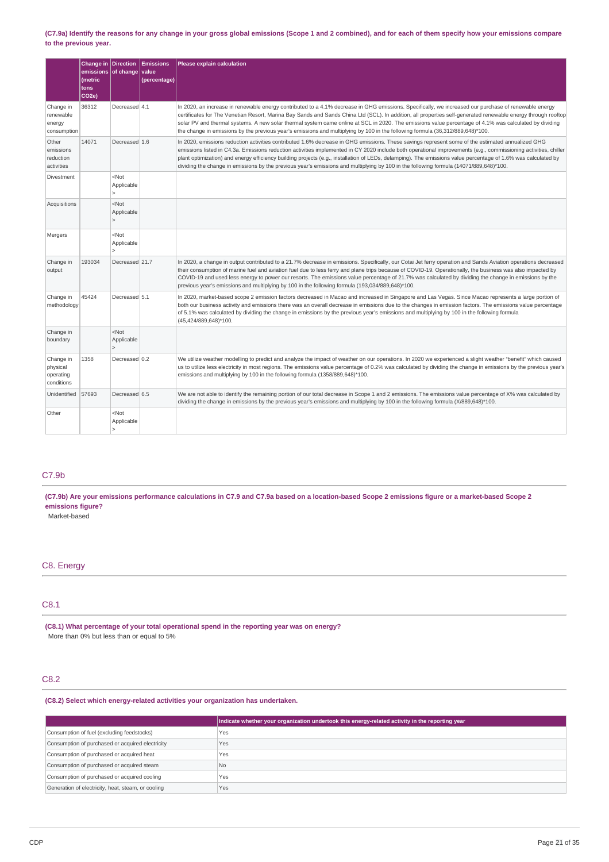### (C7.9a) Identify the reasons for any change in your gross global emissions (Scope 1 and 2 combined), and for each of them specify how your emissions compare **to the previous year.**

|                                                  | Change in Direction<br>emissions of change value<br>(metric<br>tons<br>CO <sub>2e</sub> ) |                                         | <b>Emissions</b><br>(percentage) | Please explain calculation                                                                                                                                                                                                                                                                                                                                                                                                                                                                                                                                                                                                     |
|--------------------------------------------------|-------------------------------------------------------------------------------------------|-----------------------------------------|----------------------------------|--------------------------------------------------------------------------------------------------------------------------------------------------------------------------------------------------------------------------------------------------------------------------------------------------------------------------------------------------------------------------------------------------------------------------------------------------------------------------------------------------------------------------------------------------------------------------------------------------------------------------------|
| Change in<br>renewable<br>energy<br>consumption  | 36312                                                                                     | Decreased 4.1                           |                                  | In 2020, an increase in renewable energy contributed to a 4.1% decrease in GHG emissions. Specifically, we increased our purchase of renewable energy<br>certificates for The Venetian Resort, Marina Bay Sands and Sands China Ltd (SCL). In addition, all properties self-generated renewable energy through rooftop<br>solar PV and thermal systems. A new solar thermal system came online at SCL in 2020. The emissions value percentage of 4.1% was calculated by dividing<br>the change in emissions by the previous year's emissions and multiplying by 100 in the following formula (36,312/889,648)*100.             |
| Other<br>emissions<br>reduction<br>activities    | 14071                                                                                     | Decreased 1.6                           |                                  | In 2020, emissions reduction activities contributed 1.6% decrease in GHG emissions. These savings represent some of the estimated annualized GHG<br>emissions listed in C4.3a. Emissions reduction activities implemented in CY 2020 include both operational improvements (e.g., commissioning activities, chiller<br>plant optimization) and energy efficiency building projects (e.g., installation of LEDs, delamping). The emissions value percentage of 1.6% was calculated by<br>dividing the change in emissions by the previous year's emissions and multiplying by 100 in the following formula (14071/889,648)*100. |
| Divestment                                       |                                                                                           | $<$ Not<br>Applicable<br>$\geq$         |                                  |                                                                                                                                                                                                                                                                                                                                                                                                                                                                                                                                                                                                                                |
| Acquisitions                                     |                                                                                           | $<$ Not<br>Applicable<br>$\geq$         |                                  |                                                                                                                                                                                                                                                                                                                                                                                                                                                                                                                                                                                                                                |
| Mergers                                          |                                                                                           | $<$ Not<br>Applicable<br>$\geq$         |                                  |                                                                                                                                                                                                                                                                                                                                                                                                                                                                                                                                                                                                                                |
| Change in<br>output                              | 193034                                                                                    | Decreased 21.7                          |                                  | In 2020, a change in output contributed to a 21.7% decrease in emissions. Specifically, our Cotai Jet ferry operation and Sands Aviation operations decreased<br>their consumption of marine fuel and aviation fuel due to less ferry and plane trips because of COVID-19. Operationally, the business was also impacted by<br>COVID-19 and used less energy to power our resorts. The emissions value percentage of 21.7% was calculated by dividing the change in emissions by the<br>previous year's emissions and multiplying by 100 in the following formula (193,034/889,648)*100.                                       |
| Change in<br>methodology                         | 45424                                                                                     | Decreased 5.1                           |                                  | In 2020, market-based scope 2 emission factors decreased in Macao and increased in Singapore and Las Vegas. Since Macao represents a large portion of<br>both our business activity and emissions there was an overall decrease in emissions due to the changes in emission factors. The emissions value percentage<br>of 5.1% was calculated by dividing the change in emissions by the previous year's emissions and multiplying by 100 in the following formula<br>(45,424/889,648)*100.                                                                                                                                    |
| Change in<br>boundary                            |                                                                                           | $<$ Not<br>Applicable<br>$\overline{ }$ |                                  |                                                                                                                                                                                                                                                                                                                                                                                                                                                                                                                                                                                                                                |
| Change in<br>physical<br>operating<br>conditions | 1358                                                                                      | Decreased 0.2                           |                                  | We utilize weather modelling to predict and analyze the impact of weather on our operations. In 2020 we experienced a slight weather "benefit" which caused<br>us to utilize less electricity in most regions. The emissions value percentage of 0.2% was calculated by dividing the change in emissions by the previous year's<br>emissions and multiplying by 100 in the following formula (1358/889,648)*100.                                                                                                                                                                                                               |
| Unidentified                                     | 57693                                                                                     | Decreased 6.5                           |                                  | We are not able to identify the remaining portion of our total decrease in Scope 1 and 2 emissions. The emissions value percentage of X% was calculated by<br>dividing the change in emissions by the previous year's emissions and multiplying by 100 in the following formula (X/889,648)*100.                                                                                                                                                                                                                                                                                                                               |
| Other                                            |                                                                                           | $<$ Not<br>Applicable<br>5              |                                  |                                                                                                                                                                                                                                                                                                                                                                                                                                                                                                                                                                                                                                |

## C7.9b

(C7.9b) Are your emissions performance calculations in C7.9 and C7.9a based on a location-based Scope 2 emissions figure or a market-based Scope 2 **emissions figure?**

Market-based

## C8. Energy

# C8.1

**(C8.1) What percentage of your total operational spend in the reporting year was on energy?** More than 0% but less than or equal to 5%

# C8.2

**(C8.2) Select which energy-related activities your organization has undertaken.**

|                                                    | Indicate whether your organization undertook this energy-related activity in the reporting year |
|----------------------------------------------------|-------------------------------------------------------------------------------------------------|
| Consumption of fuel (excluding feedstocks)         | Yes                                                                                             |
| Consumption of purchased or acquired electricity   | Yes                                                                                             |
| Consumption of purchased or acquired heat          | Yes                                                                                             |
| Consumption of purchased or acquired steam         | N <sub>0</sub>                                                                                  |
| Consumption of purchased or acquired cooling       | Yes                                                                                             |
| Generation of electricity, heat, steam, or cooling | Yes                                                                                             |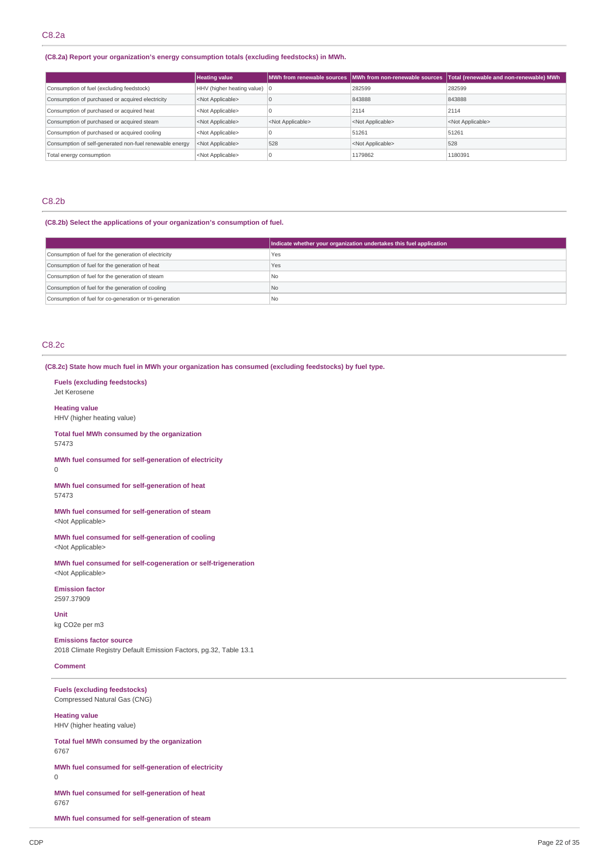### **(C8.2a) Report your organization's energy consumption totals (excluding feedstocks) in MWh.**

|                                                         | <b>Heating value</b>                   |                           | MWh from renewable sources MWh from non-renewable sources | Total (renewable and non-renewable) MWh |
|---------------------------------------------------------|----------------------------------------|---------------------------|-----------------------------------------------------------|-----------------------------------------|
| Consumption of fuel (excluding feedstock)               | HHV (higher heating value) $ 0\rangle$ |                           | 282599                                                    | 282599                                  |
| Consumption of purchased or acquired electricity        | <not applicable=""></not>              |                           | 843888                                                    | 843888                                  |
| Consumption of purchased or acquired heat               | <not applicable=""></not>              |                           | 2114                                                      | 2114                                    |
| Consumption of purchased or acquired steam              | <not applicable=""></not>              | <not applicable=""></not> | <not applicable=""></not>                                 | <not applicable=""></not>               |
| Consumption of purchased or acquired cooling            | <not applicable=""></not>              |                           | 51261                                                     | 51261                                   |
| Consumption of self-generated non-fuel renewable energy | <not applicable=""></not>              | 528                       | <not applicable=""></not>                                 | 528                                     |
| Total energy consumption                                | <not applicable=""></not>              |                           | 1179862                                                   | 1180391                                 |

### C8.2b

### **(C8.2b) Select the applications of your organization's consumption of fuel.**

|                                                         | Indicate whether your organization undertakes this fuel application |
|---------------------------------------------------------|---------------------------------------------------------------------|
| Consumption of fuel for the generation of electricity   | Yes                                                                 |
| Consumption of fuel for the generation of heat          | Yes                                                                 |
| Consumption of fuel for the generation of steam         | l No                                                                |
| Consumption of fuel for the generation of cooling       | <b>No</b>                                                           |
| Consumption of fuel for co-generation or tri-generation | I No                                                                |

## C8.2c

**(C8.2c) State how much fuel in MWh your organization has consumed (excluding feedstocks) by fuel type.**

#### **Fuels (excluding feedstocks)** Jet Kerosene

### **Heating value**

HHV (higher heating value)

**Total fuel MWh consumed by the organization** 57473

**MWh fuel consumed for self-generation of electricity**  $\Omega$ 

**MWh fuel consumed for self-generation of heat** 57473

**MWh fuel consumed for self-generation of steam** <Not Applicable>

**MWh fuel consumed for self-generation of cooling** <Not Applicable>

**MWh fuel consumed for self-cogeneration or self-trigeneration** <Not Applicable>

## **Emission factor**

2597.37909

**Unit** kg CO2e per m3

**Emissions factor source** 2018 Climate Registry Default Emission Factors, pg.32, Table 13.1

### **Comment**

**Fuels (excluding feedstocks)** Compressed Natural Gas (CNG)

**Heating value** HHV (higher heating value)

**Total fuel MWh consumed by the organization** 6767

**MWh fuel consumed for self-generation of electricity**

 $\Omega$ 

**MWh fuel consumed for self-generation of heat** 6767

**MWh fuel consumed for self-generation of steam**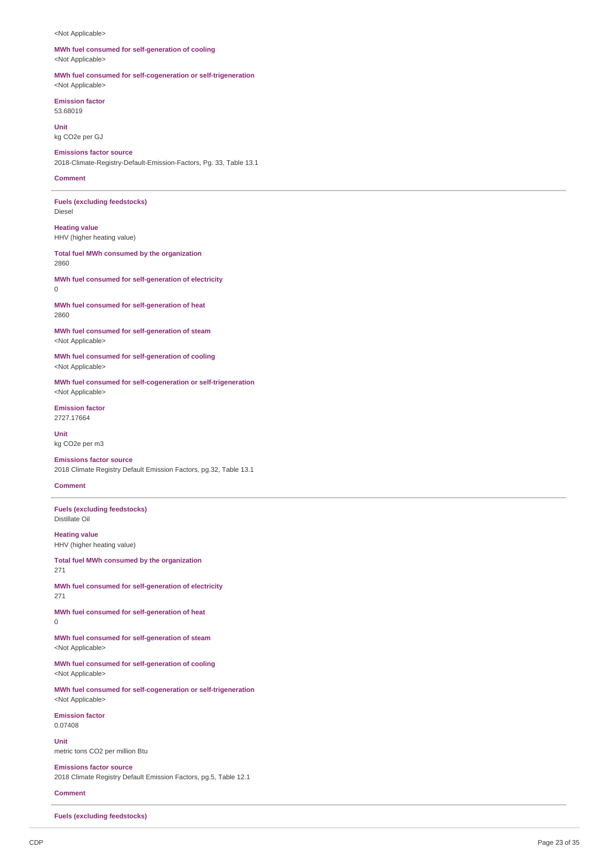#### <Not Applicable>

#### **MWh fuel consumed for self-generation of cooling** <Not Applicable>

**MWh fuel consumed for self-cogeneration or self-trigeneration** <Not Applicable>

**Emission factor** 53.68019

**Unit** kg CO2e per GJ

**Emissions factor source** 2018-Climate-Registry-Default-Emission-Factors, Pg. 33, Table 13.1

#### **Comment**

**Fuels (excluding feedstocks)** Diesel

**Heating value** HHV (higher heating value)

**Total fuel MWh consumed by the organization** 2860

**MWh fuel consumed for self-generation of electricity**  $\Omega$ 

**MWh fuel consumed for self-generation of heat** 2860

**MWh fuel consumed for self-generation of steam** <Not Applicable>

**MWh fuel consumed for self-generation of cooling** <Not Applicable>

**MWh fuel consumed for self-cogeneration or self-trigeneration** <Not Applicable>

**Emission factor** 2727.17664

**Unit** kg CO2e per m3

**Emissions factor source** 2018 Climate Registry Default Emission Factors, pg.32, Table 13.1

### **Comment**

**Fuels (excluding feedstocks)** Distillate Oil

**Heating value** HHV (higher heating value)

**Total fuel MWh consumed by the organization** 271

**MWh fuel consumed for self-generation of electricity** 271

**MWh fuel consumed for self-generation of heat**  $\Omega$ 

**MWh fuel consumed for self-generation of steam** <Not Applicable>

**MWh fuel consumed for self-generation of cooling** <Not Applicable>

**MWh fuel consumed for self-cogeneration or self-trigeneration** <Not Applicable>

**Emission factor** 0.07408

**Unit** metric tons CO2 per million Btu

**Emissions factor source** 2018 Climate Registry Default Emission Factors, pg.5, Table 12.1

**Comment**

**Fuels (excluding feedstocks)**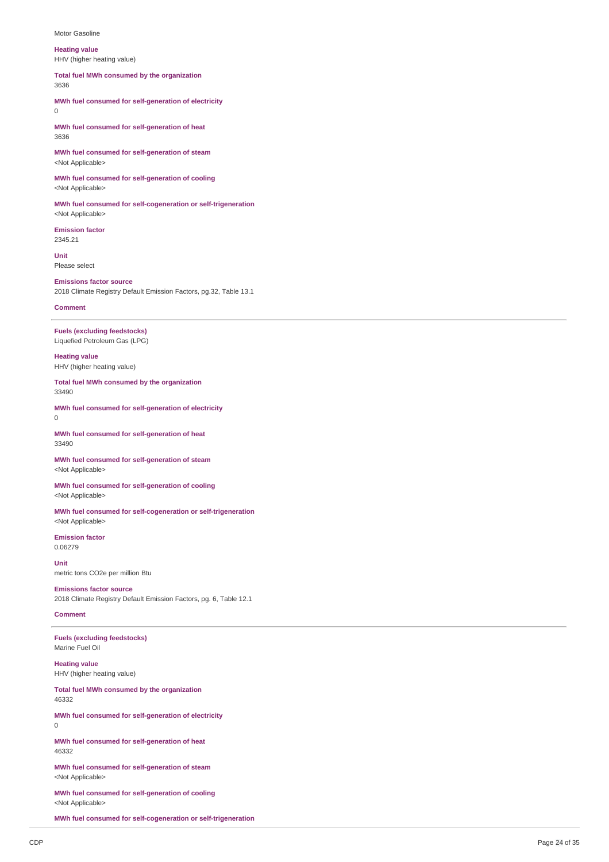#### Motor Gasoline

#### **Heating value**

HHV (higher heating value)

**Total fuel MWh consumed by the organization**

3636

**MWh fuel consumed for self-generation of electricity** 0

**MWh fuel consumed for self-generation of heat** 3636

**MWh fuel consumed for self-generation of steam** <Not Applicable>

**MWh fuel consumed for self-generation of cooling** <Not Applicable>

**MWh fuel consumed for self-cogeneration or self-trigeneration** <Not Applicable>

**Emission factor** 2345.21

**Unit** Please select

### **Emissions factor source**

2018 Climate Registry Default Emission Factors, pg.32, Table 13.1

### **Comment**

**Fuels (excluding feedstocks)** Liquefied Petroleum Gas (LPG)

**Heating value** HHV (higher heating value)

**Total fuel MWh consumed by the organization** 33490

**MWh fuel consumed for self-generation of electricity**  $\Omega$ 

**MWh fuel consumed for self-generation of heat** 33490

**MWh fuel consumed for self-generation of steam** <Not Applicable>

**MWh fuel consumed for self-generation of cooling** <Not Applicable>

**MWh fuel consumed for self-cogeneration or self-trigeneration** <Not Applicable>

**Emission factor** 0.06279

**Unit** metric tons CO2e per million Btu

**Emissions factor source** 2018 Climate Registry Default Emission Factors, pg. 6, Table 12.1

### **Comment**

**Fuels (excluding feedstocks)** Marine Fuel Oil

**Heating value** HHV (higher heating value)

**Total fuel MWh consumed by the organization** 46332

**MWh fuel consumed for self-generation of electricity**  $\Omega$ 

**MWh fuel consumed for self-generation of heat** 46332

**MWh fuel consumed for self-generation of steam** <Not Applicable>

**MWh fuel consumed for self-generation of cooling** <Not Applicable>

**MWh fuel consumed for self-cogeneration or self-trigeneration**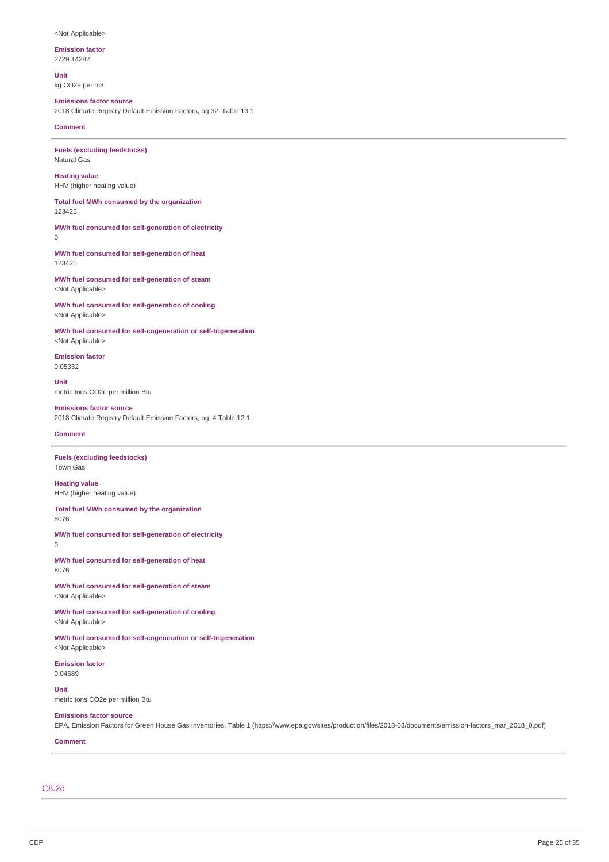#### <Not Applicable>

**Emission factor**

2729.14282

**Unit** kg CO2e per m3

## **Emissions factor source**

2018 Climate Registry Default Emission Factors, pg.32, Table 13.1

**Comment**

**Fuels (excluding feedstocks)** Natural Gas

**Heating value** HHV (higher heating value)

**Total fuel MWh consumed by the organization** 123425

**MWh fuel consumed for self-generation of electricity** 0

**MWh fuel consumed for self-generation of heat** 123425

**MWh fuel consumed for self-generation of steam** <Not Applicable>

**MWh fuel consumed for self-generation of cooling** <Not Applicable>

**MWh fuel consumed for self-cogeneration or self-trigeneration** <Not Applicable>

**Emission factor** 0.05332

**Unit** metric tons CO2e per million Btu

#### **Emissions factor source**

2018 Climate Registry Default Emission Factors, pg. 4 Table 12.1

### **Comment**

**Fuels (excluding feedstocks)** Town Gas

**Heating value** HHV (higher heating value)

**Total fuel MWh consumed by the organization** 8076

**MWh fuel consumed for self-generation of electricity**

0

**MWh fuel consumed for self-generation of heat** 8076

**MWh fuel consumed for self-generation of steam** <Not Applicable>

**MWh fuel consumed for self-generation of cooling** <Not Applicable>

**MWh fuel consumed for self-cogeneration or self-trigeneration** <Not Applicable>

**Emission factor** 0.04689

**Unit** metric tons CO2e per million Btu

# **Emissions factor source**

EPA, Emission Factors for Green House Gas Inventories, Table 1 (https://www.epa.gov/sites/production/files/2018-03/documents/emission-factors\_mar\_2018\_0.pdf)

## **Comment**

C8.2d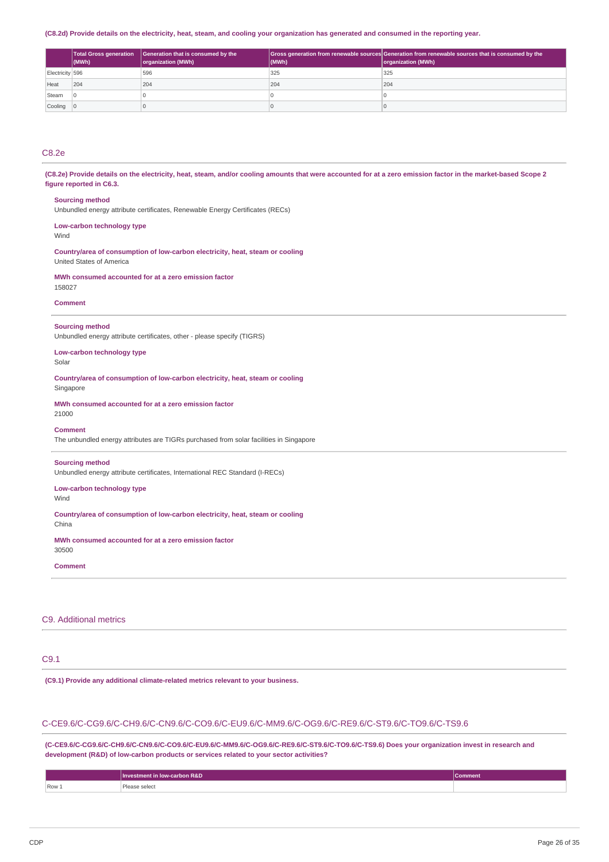#### (C8.2d) Provide details on the electricity, heat, steam, and cooling your organization has generated and consumed in the reporting year.

|                 | Total Gross generation<br>(MWh) | Generation that is consumed by the<br>organization (MWh) | (MWh) | Gross generation from renewable sources Generation from renewable sources that is consumed by the<br>organization (MWh) |
|-----------------|---------------------------------|----------------------------------------------------------|-------|-------------------------------------------------------------------------------------------------------------------------|
| Electricity 596 |                                 | 596                                                      | 325   | 325                                                                                                                     |
| Heat            | 204                             | 204                                                      | 204   | 204                                                                                                                     |
| Steam           |                                 |                                                          |       |                                                                                                                         |
| Cooling         |                                 |                                                          |       |                                                                                                                         |

# C8.2e

(C8.2e) Provide details on the electricity, heat, steam, and/or cooling amounts that were accounted for at a zero emission factor in the market-based Scope 2 **figure reported in C6.3.**

#### **Sourcing method**

Unbundled energy attribute certificates, Renewable Energy Certificates (RECs)

## **Low-carbon technology type**

Wind

**Country/area of consumption of low-carbon electricity, heat, steam or cooling** United States of America

**MWh consumed accounted for at a zero emission factor** 158027

#### **Comment**

#### **Sourcing method**

Unbundled energy attribute certificates, other - please specify (TIGRS)

**Low-carbon technology type** Solar

**Country/area of consumption of low-carbon electricity, heat, steam or cooling** Singapore

**MWh consumed accounted for at a zero emission factor** 21000

#### **Comment**

The unbundled energy attributes are TIGRs purchased from solar facilities in Singapore

### **Sourcing method**

Unbundled energy attribute certificates, International REC Standard (I-RECs)

#### **Low-carbon technology type** Wind

**Country/area of consumption of low-carbon electricity, heat, steam or cooling** China

**MWh consumed accounted for at a zero emission factor** 30500

#### **Comment**

## C9. Additional metrics

# C9.1

**(C9.1) Provide any additional climate-related metrics relevant to your business.**

## C-CE9.6/C-CG9.6/C-CH9.6/C-CN9.6/C-CO9.6/C-EU9.6/C-MM9.6/C-OG9.6/C-RE9.6/C-ST9.6/C-TO9.6/C-TS9.6

**(C-CE9.6/C-CG9.6/C-CH9.6/C-CN9.6/C-CO9.6/C-EU9.6/C-MM9.6/C-OG9.6/C-RE9.6/C-ST9.6/C-TO9.6/C-TS9.6) Does your organization invest in research and development (R&D) of low-carbon products or services related to your sector activities?**

|       | <b>Investment in low-carbon R&amp;D</b> | Comment |
|-------|-----------------------------------------|---------|
| Row 1 | 'lease select                           |         |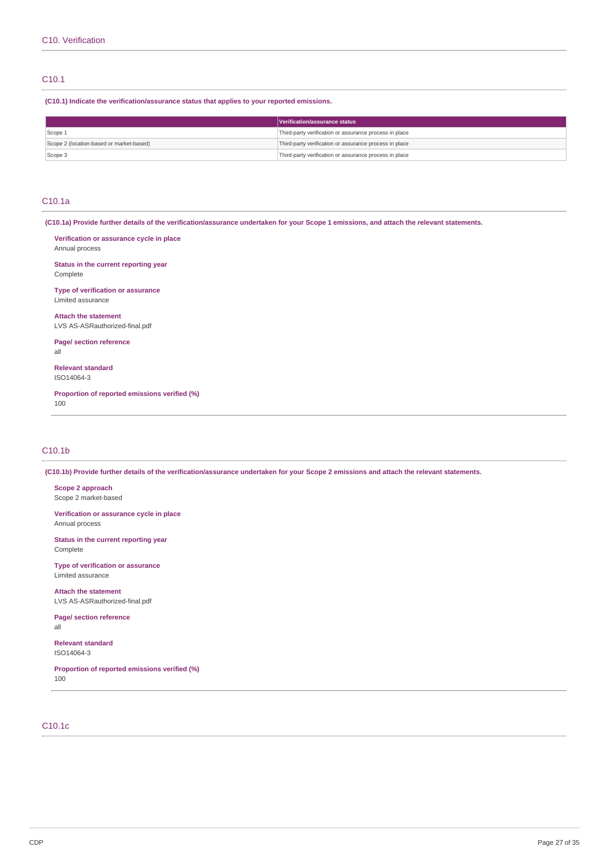### C10.1

**(C10.1) Indicate the verification/assurance status that applies to your reported emissions.**

|                                          | Verification/assurance status                          |  |
|------------------------------------------|--------------------------------------------------------|--|
| Scope 1                                  | Third-party verification or assurance process in place |  |
| Scope 2 (location-based or market-based) | Third-party verification or assurance process in place |  |
| Scope 3                                  | Third-party verification or assurance process in place |  |

### C10.1a

(C10.1a) Provide further details of the verification/assurance undertaken for your Scope 1 emissions, and attach the relevant statements.

**Verification or assurance cycle in place** Annual process

**Status in the current reporting year** Complete

**Type of verification or assurance** Limited assurance

**Attach the statement** LVS AS-ASRauthorized-final.pdf

**Page/ section reference** all

**Relevant standard** ISO14064-3

**Proportion of reported emissions verified (%)** 100

### C10.1b

(C10.1b) Provide further details of the verification/assurance undertaken for your Scope 2 emissions and attach the relevant statements.

**Scope 2 approach** Scope 2 market-based

**Verification or assurance cycle in place** Annual process

**Status in the current reporting year** Complete

**Type of verification or assurance** Limited assurance

**Attach the statement** LVS AS-ASRauthorized-final.pdf

**Page/ section reference** all

**Relevant standard** ISO14064-3

**Proportion of reported emissions verified (%)** 100

# C10.1c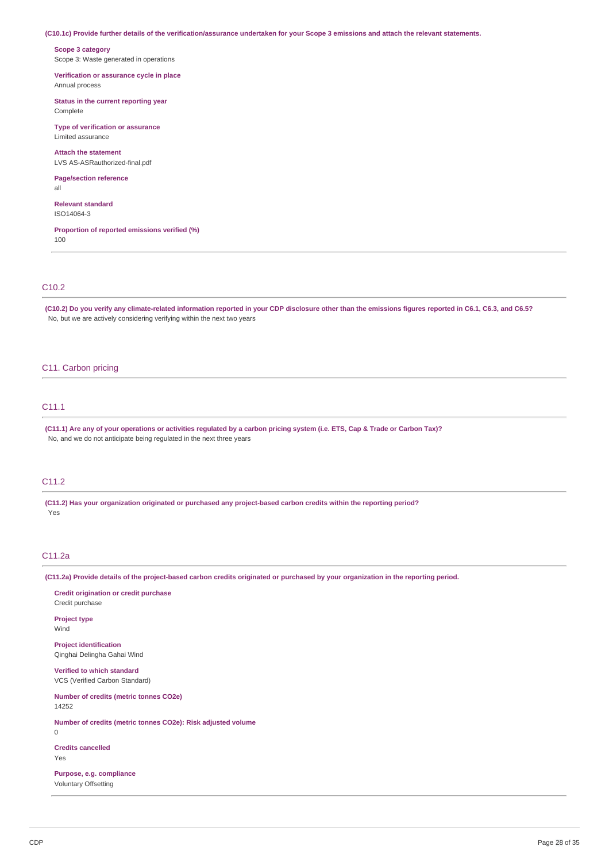(C10.1c) Provide further details of the verification/assurance undertaken for your Scope 3 emissions and attach the relevant statements.

**Scope 3 category** Scope 3: Waste generated in operations

**Verification or assurance cycle in place** Annual process

**Status in the current reporting year** Complete

**Type of verification or assurance** Limited assurance

**Attach the statement** LVS AS-ASRauthorized-final.pdf

**Page/section reference**

**Relevant standard**

ISO14064-3

all

**Proportion of reported emissions verified (%)** 100

### C10.2

(C10.2) Do you verify any climate-related information reported in your CDP disclosure other than the emissions figures reported in C6.1, C6.3, and C6.5? No, but we are actively considering verifying within the next two years

## C11. Carbon pricing

## C11.1

(C11.1) Are any of your operations or activities regulated by a carbon pricing system (i.e. ETS, Cap & Trade or Carbon Tax)? No, and we do not anticipate being regulated in the next three years

## C11.2

**(C11.2) Has your organization originated or purchased any project-based carbon credits within the reporting period?** Yes

## C11.2a

(C11.2a) Provide details of the project-based carbon credits originated or purchased by your organization in the reporting period.

| Credit origination or credit purchase<br>Credit purchase            |
|---------------------------------------------------------------------|
| <b>Project type</b><br>Wind                                         |
| <b>Project identification</b><br>Qinghai Delingha Gahai Wind        |
| <b>Verified to which standard</b><br>VCS (Verified Carbon Standard) |
| <b>Number of credits (metric tonnes CO2e)</b><br>14252              |
| Number of credits (metric tonnes CO2e): Risk adjusted volume<br>0   |
| <b>Credits cancelled</b><br>Yes                                     |
| Purpose, e.g. compliance<br><b>Voluntary Offsetting</b>             |
|                                                                     |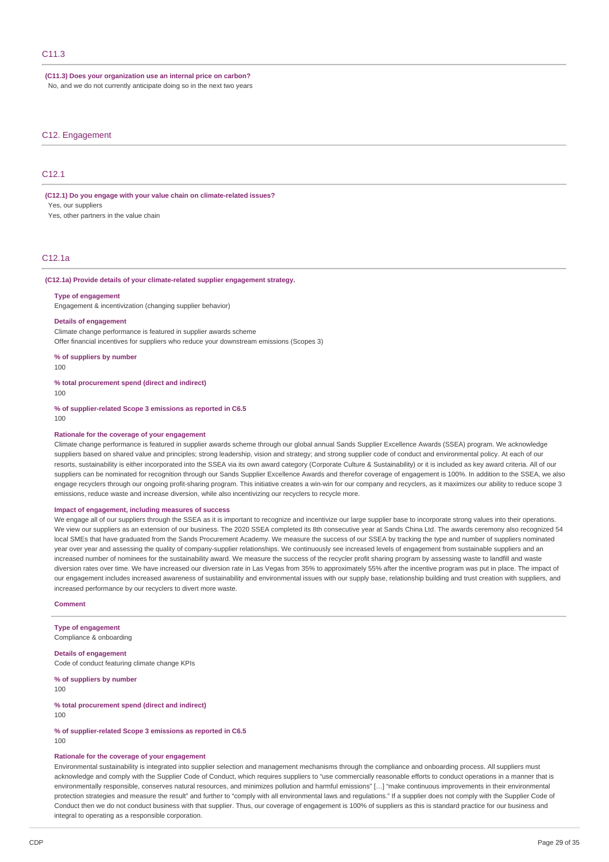### **(C11.3) Does your organization use an internal price on carbon?** No, and we do not currently anticipate doing so in the next two years

#### C12. Engagement

## C<sub>12</sub>.1

**(C12.1) Do you engage with your value chain on climate-related issues?** Yes, our suppliers

Yes, other partners in the value chain

## C12.1a

#### **(C12.1a) Provide details of your climate-related supplier engagement strategy.**

### **Type of engagement**

Engagement & incentivization (changing supplier behavior)

#### **Details of engagement**

Climate change performance is featured in supplier awards scheme Offer financial incentives for suppliers who reduce your downstream emissions (Scopes 3)

**% of suppliers by number**  $100$ 

**% total procurement spend (direct and indirect)** 100

**% of supplier-related Scope 3 emissions as reported in C6.5** 100

#### **Rationale for the coverage of your engagement**

Climate change performance is featured in supplier awards scheme through our global annual Sands Supplier Excellence Awards (SSEA) program. We acknowledge suppliers based on shared value and principles; strong leadership, vision and strategy; and strong supplier code of conduct and environmental policy. At each of our resorts, sustainability is either incorporated into the SSEA via its own award category (Corporate Culture & Sustainability) or it is included as key award criteria. All of our suppliers can be nominated for recognition through our Sands Supplier Excellence Awards and therefor coverage of engagement is 100%. In addition to the SSEA, we also engage recyclers through our ongoing profit-sharing program. This initiative creates a win-win for our company and recyclers, as it maximizes our ability to reduce scope 3 emissions, reduce waste and increase diversion, while also incentivizing our recyclers to recycle more.

#### **Impact of engagement, including measures of success**

We engage all of our suppliers through the SSEA as it is important to recognize and incentivize our large supplier base to incorporate strong values into their operations. We view our suppliers as an extension of our business. The 2020 SSEA completed its 8th consecutive year at Sands China Ltd. The awards ceremony also recognized 54 local SMEs that have graduated from the Sands Procurement Academy. We measure the success of our SSEA by tracking the type and number of suppliers nominated year over year and assessing the quality of company-supplier relationships. We continuously see increased levels of engagement from sustainable suppliers and an increased number of nominees for the sustainability award. We measure the success of the recycler profit sharing program by assessing waste to landfill and waste diversion rates over time. We have increased our diversion rate in Las Vegas from 35% to approximately 55% after the incentive program was put in place. The impact of our engagement includes increased awareness of sustainability and environmental issues with our supply base, relationship building and trust creation with suppliers, and increased performance by our recyclers to divert more waste.

#### **Comment**

**Type of engagement** Compliance & onboarding

**Details of engagement** Code of conduct featuring climate change KPIs

**% of suppliers by number** 100

**% total procurement spend (direct and indirect)** 100

**% of supplier-related Scope 3 emissions as reported in C6.5** 100

#### **Rationale for the coverage of your engagement**

Environmental sustainability is integrated into supplier selection and management mechanisms through the compliance and onboarding process. All suppliers must acknowledge and comply with the Supplier Code of Conduct, which requires suppliers to "use commercially reasonable efforts to conduct operations in a manner that is environmentally responsible, conserves natural resources, and minimizes pollution and harmful emissions" […] "make continuous improvements in their environmental protection strategies and measure the result" and further to "comply with all environmental laws and regulations." If a supplier does not comply with the Supplier Code of Conduct then we do not conduct business with that supplier. Thus, our coverage of engagement is 100% of suppliers as this is standard practice for our business and integral to operating as a responsible corporation.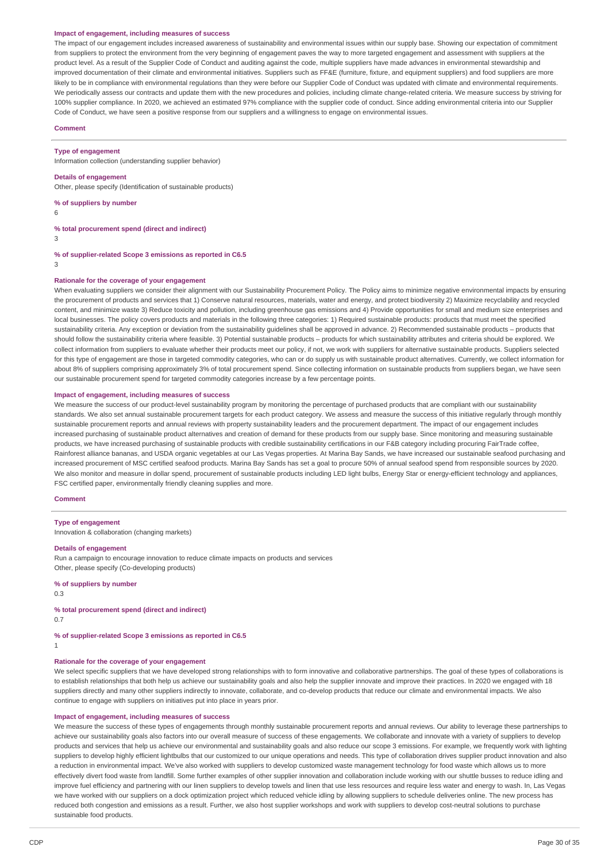#### **Impact of engagement, including measures of success**

The impact of our engagement includes increased awareness of sustainability and environmental issues within our supply base. Showing our expectation of commitment from suppliers to protect the environment from the very beginning of engagement paves the way to more targeted engagement and assessment with suppliers at the product level. As a result of the Supplier Code of Conduct and auditing against the code, multiple suppliers have made advances in environmental stewardship and improved documentation of their climate and environmental initiatives. Suppliers such as FF&E (furniture, fixture, and equipment suppliers) and food suppliers are more likely to be in compliance with environmental regulations than they were before our Supplier Code of Conduct was updated with climate and environmental requirements. We periodically assess our contracts and update them with the new procedures and policies, including climate change-related criteria. We measure success by striving for 100% supplier compliance. In 2020, we achieved an estimated 97% compliance with the supplier code of conduct. Since adding environmental criteria into our Supplier Code of Conduct, we have seen a positive response from our suppliers and a willingness to engage on environmental issues.

#### **Comment**

**Type of engagement**

Information collection (understanding supplier behavior)

#### **Details of engagement**

Other, please specify (Identification of sustainable products)

#### **% of suppliers by number**

6

#### **% total procurement spend (direct and indirect)**

3

#### **% of supplier-related Scope 3 emissions as reported in C6.5**

3

### **Rationale for the coverage of your engagement**

When evaluating suppliers we consider their alignment with our Sustainability Procurement Policy. The Policy aims to minimize negative environmental impacts by ensuring the procurement of products and services that 1) Conserve natural resources, materials, water and energy, and protect biodiversity 2) Maximize recyclability and recycled content, and minimize waste 3) Reduce toxicity and pollution, including greenhouse gas emissions and 4) Provide opportunities for small and medium size enterprises and local businesses. The policy covers products and materials in the following three categories: 1) Required sustainable products: products that must meet the specified sustainability criteria. Any exception or deviation from the sustainability guidelines shall be approved in advance. 2) Recommended sustainable products – products that should follow the sustainability criteria where feasible. 3) Potential sustainable products – products for which sustainability attributes and criteria should be explored. We collect information from suppliers to evaluate whether their products meet our policy, if not, we work with suppliers for alternative sustainable products. Suppliers selected for this type of engagement are those in targeted commodity categories, who can or do supply us with sustainable product alternatives. Currently, we collect information for about 8% of suppliers comprising approximately 3% of total procurement spend. Since collecting information on sustainable products from suppliers began, we have seen our sustainable procurement spend for targeted commodity categories increase by a few percentage points.

#### **Impact of engagement, including measures of success**

We measure the success of our product-level sustainability program by monitoring the percentage of purchased products that are compliant with our sustainability standards. We also set annual sustainable procurement targets for each product category. We assess and measure the success of this initiative regularly through monthly sustainable procurement reports and annual reviews with property sustainability leaders and the procurement department. The impact of our engagement includes increased purchasing of sustainable product alternatives and creation of demand for these products from our supply base. Since monitoring and measuring sustainable products, we have increased purchasing of sustainable products with credible sustainability certifications in our F&B category including procuring FairTrade coffee, Rainforest alliance bananas, and USDA organic vegetables at our Las Vegas properties. At Marina Bay Sands, we have increased our sustainable seafood purchasing and increased procurement of MSC certified seafood products. Marina Bay Sands has set a goal to procure 50% of annual seafood spend from responsible sources by 2020. We also monitor and measure in dollar spend, procurement of sustainable products including LED light bulbs, Energy Star or energy-efficient technology and appliances, FSC certified paper, environmentally friendly cleaning supplies and more.

#### **Comment**

#### **Type of engagement**

Innovation & collaboration (changing markets)

#### **Details of engagement**

Run a campaign to encourage innovation to reduce climate impacts on products and services Other, please specify (Co-developing products)

#### **% of suppliers by number**

0.3

## **% total procurement spend (direct and indirect)**

0.7

#### **% of supplier-related Scope 3 emissions as reported in C6.5** 1

#### **Rationale for the coverage of your engagement**

We select specific suppliers that we have developed strong relationships with to form innovative and collaborative partnerships. The goal of these types of collaborations is to establish relationships that both help us achieve our sustainability goals and also help the supplier innovate and improve their practices. In 2020 we engaged with 18 suppliers directly and many other suppliers indirectly to innovate, collaborate, and co-develop products that reduce our climate and environmental impacts. We also continue to engage with suppliers on initiatives put into place in years prior.

## **Impact of engagement, including measures of success**

We measure the success of these types of engagements through monthly sustainable procurement reports and annual reviews. Our ability to leverage these partnerships to achieve our sustainability goals also factors into our overall measure of success of these engagements. We collaborate and innovate with a variety of suppliers to develop products and services that help us achieve our environmental and sustainability goals and also reduce our scope 3 emissions. For example, we frequently work with lighting suppliers to develop highly efficient lightbulbs that our customized to our unique operations and needs. This type of collaboration drives supplier product innovation and also a reduction in environmental impact. We've also worked with suppliers to develop customized waste management technology for food waste which allows us to more effectively divert food waste from landfill. Some further examples of other supplier innovation and collaboration include working with our shuttle busses to reduce idling and improve fuel efficiency and partnering with our linen suppliers to develop towels and linen that use less resources and require less water and energy to wash. In, Las Vegas we have worked with our suppliers on a dock optimization project which reduced vehicle idling by allowing suppliers to schedule deliveries online. The new process has reduced both congestion and emissions as a result. Further, we also host supplier workshops and work with suppliers to develop cost-neutral solutions to purchase sustainable food products.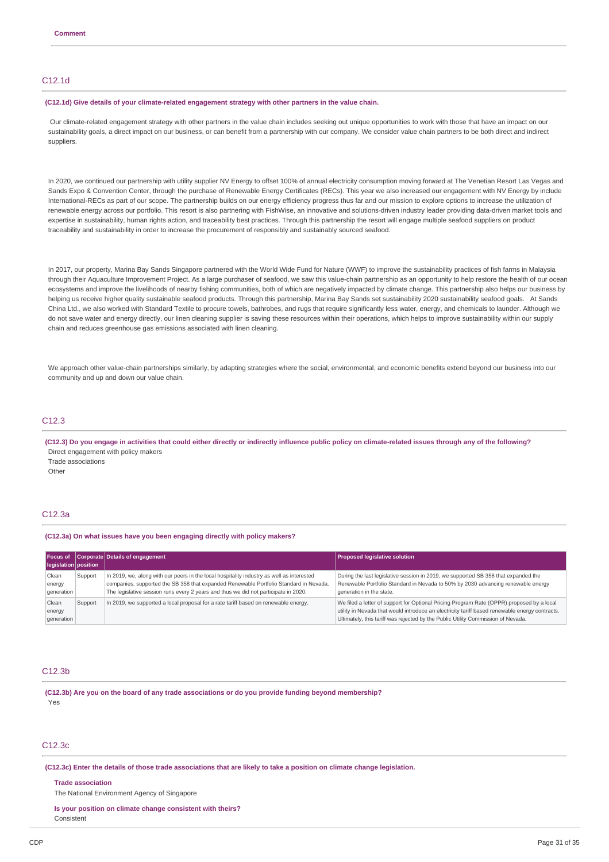## C12.1d

#### **(C12.1d) Give details of your climate-related engagement strategy with other partners in the value chain.**

Our climate-related engagement strategy with other partners in the value chain includes seeking out unique opportunities to work with those that have an impact on our sustainability goals, a direct impact on our business, or can benefit from a partnership with our company. We consider value chain partners to be both direct and indirect suppliers.

In 2020, we continued our partnership with utility supplier NV Energy to offset 100% of annual electricity consumption moving forward at The Venetian Resort Las Vegas and Sands Expo & Convention Center, through the purchase of Renewable Energy Certificates (RECs). This year we also increased our engagement with NV Energy by include International-RECs as part of our scope. The partnership builds on our energy efficiency progress thus far and our mission to explore options to increase the utilization of renewable energy across our portfolio. This resort is also partnering with FishWise, an innovative and solutions-driven industry leader providing data-driven market tools and expertise in sustainability, human rights action, and traceability best practices. Through this partnership the resort will engage multiple seafood suppliers on product traceability and sustainability in order to increase the procurement of responsibly and sustainably sourced seafood.

In 2017, our property, Marina Bay Sands Singapore partnered with the World Wide Fund for Nature (WWF) to improve the sustainability practices of fish farms in Malaysia through their Aquaculture Improvement Project. As a large purchaser of seafood, we saw this value-chain partnership as an opportunity to help restore the health of our ocean ecosystems and improve the livelihoods of nearby fishing communities, both of which are negatively impacted by climate change. This partnership also helps our business by helping us receive higher quality sustainable seafood products. Through this partnership, Marina Bay Sands set sustainability 2020 sustainability seafood goals. At Sands China Ltd., we also worked with Standard Textile to procure towels, bathrobes, and rugs that require significantly less water, energy, and chemicals to launder. Although we do not save water and energy directly, our linen cleaning supplier is saving these resources within their operations, which helps to improve sustainability within our supply chain and reduces greenhouse gas emissions associated with linen cleaning.

We approach other value-chain partnerships similarly, by adapting strategies where the social, environmental, and economic benefits extend beyond our business into our community and up and down our value chain.

## C12.3

(C12.3) Do you engage in activities that could either directly or indirectly influence public policy on climate-related issues through any of the following? Direct engagement with policy makers Trade associations **Other** 

### C12.3a

#### **(C12.3a) On what issues have you been engaging directly with policy makers?**

| <b>Focus of</b><br>legislation position |         | Corporate Details of engagement                                                                                                                                                                                                                                           | <b>Proposed legislative solution</b>                                                                                                                                                                                                                                            |
|-----------------------------------------|---------|---------------------------------------------------------------------------------------------------------------------------------------------------------------------------------------------------------------------------------------------------------------------------|---------------------------------------------------------------------------------------------------------------------------------------------------------------------------------------------------------------------------------------------------------------------------------|
| Clean<br>energy<br>qeneration           | Support | In 2019, we, along with our peers in the local hospitality industry as well as interested<br>companies, supported the SB 358 that expanded Renewable Portfolio Standard in Nevada.<br>The legislative session runs every 2 years and thus we did not participate in 2020. | During the last legislative session in 2019, we supported SB 358 that expanded the<br>Renewable Portfolio Standard in Nevada to 50% by 2030 advancing renewable energy<br>generation in the state.                                                                              |
| Clean<br>energy<br>qeneration           | Support | In 2019, we supported a local proposal for a rate tariff based on renewable energy.                                                                                                                                                                                       | We filed a letter of support for Optional Pricing Program Rate (OPPR) proposed by a local<br>utility in Nevada that would introduce an electricity tariff based renewable energy contracts.<br>Ultimately, this tariff was rejected by the Public Utility Commission of Nevada. |

### $C12.3<sub>b</sub>$

**(C12.3b) Are you on the board of any trade associations or do you provide funding beyond membership?** Yes

## C12.3c

#### (C12.3c) Enter the details of those trade associations that are likely to take a position on climate change legislation.

#### **Trade association**

The National Environment Agency of Singapore

#### **Is your position on climate change consistent with theirs?**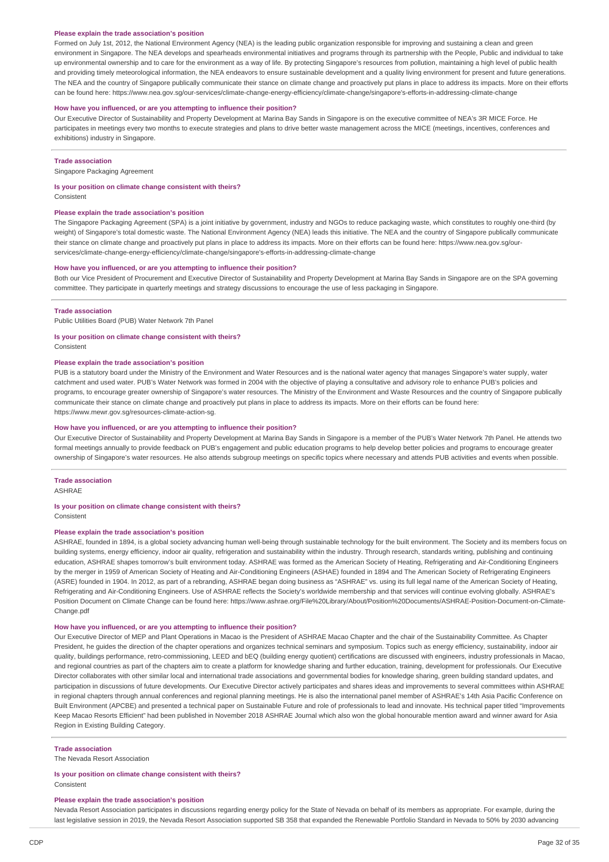#### **Please explain the trade association's position**

Formed on July 1st, 2012, the National Environment Agency (NEA) is the leading public organization responsible for improving and sustaining a clean and green environment in Singapore. The NEA develops and spearheads environmental initiatives and programs through its partnership with the People, Public and individual to take up environmental ownership and to care for the environment as a way of life. By protecting Singapore's resources from pollution, maintaining a high level of public health and providing timely meteorological information, the NEA endeavors to ensure sustainable development and a quality living environment for present and future generations. The NEA and the country of Singapore publically communicate their stance on climate change and proactively put plans in place to address its impacts. More on their efforts can be found here: https://www.nea.gov.sg/our-services/climate-change-energy-efficiency/climate-change/singapore's-efforts-in-addressing-climate-change

#### **How have you influenced, or are you attempting to influence their position?**

Our Executive Director of Sustainability and Property Development at Marina Bay Sands in Singapore is on the executive committee of NEA's 3R MICE Force. He participates in meetings every two months to execute strategies and plans to drive better waste management across the MICE (meetings, incentives, conferences and exhibitions) industry in Singapore.

#### **Trade association**

Singapore Packaging Agreement

# **Is your position on climate change consistent with theirs?**

Consistent

#### **Please explain the trade association's position**

The Singapore Packaging Agreement (SPA) is a joint initiative by government, industry and NGOs to reduce packaging waste, which constitutes to roughly one-third (by weight) of Singapore's total domestic waste. The National Environment Agency (NEA) leads this initiative. The NEA and the country of Singapore publically communicate their stance on climate change and proactively put plans in place to address its impacts. More on their efforts can be found here: https://www.nea.gov.sg/ourservices/climate-change-energy-efficiency/climate-change/singapore's-efforts-in-addressing-climate-change

#### **How have you influenced, or are you attempting to influence their position?**

Both our Vice President of Procurement and Executive Director of Sustainability and Property Development at Marina Bay Sands in Singapore are on the SPA governing committee. They participate in quarterly meetings and strategy discussions to encourage the use of less packaging in Singapore.

#### **Trade association**

Public Utilities Board (PUB) Water Network 7th Panel

#### **Is your position on climate change consistent with theirs?**

Consistent

#### **Please explain the trade association's position**

PUB is a statutory board under the Ministry of the Environment and Water Resources and is the national water agency that manages Singapore's water supply, water catchment and used water. PUB's Water Network was formed in 2004 with the objective of playing a consultative and advisory role to enhance PUB's policies and programs, to encourage greater ownership of Singapore's water resources. The Ministry of the Environment and Waste Resources and the country of Singapore publically communicate their stance on climate change and proactively put plans in place to address its impacts. More on their efforts can be found here: https://www.mewr.gov.sg/resources-climate-action-sg.

#### **How have you influenced, or are you attempting to influence their position?**

Our Executive Director of Sustainability and Property Development at Marina Bay Sands in Singapore is a member of the PUB's Water Network 7th Panel. He attends two formal meetings annually to provide feedback on PUB's engagement and public education programs to help develop better policies and programs to encourage greater ownership of Singapore's water resources. He also attends subgroup meetings on specific topics where necessary and attends PUB activities and events when possible.

### **Trade association**

ASHRAE

## **Is your position on climate change consistent with theirs?**

Consistent

## **Please explain the trade association's position**

ASHRAE, founded in 1894, is a global society advancing human well-being through sustainable technology for the built environment. The Society and its members focus on building systems, energy efficiency, indoor air quality, refrigeration and sustainability within the industry. Through research, standards writing, publishing and continuing education, ASHRAE shapes tomorrow's built environment today. ASHRAE was formed as the American Society of Heating, Refrigerating and Air-Conditioning Engineers by the merger in 1959 of American Society of Heating and Air-Conditioning Engineers (ASHAE) founded in 1894 and The American Society of Refrigerating Engineers (ASRE) founded in 1904. In 2012, as part of a rebranding, ASHRAE began doing business as "ASHRAE" vs. using its full legal name of the American Society of Heating, Refrigerating and Air-Conditioning Engineers. Use of ASHRAE reflects the Society's worldwide membership and that services will continue evolving globally. ASHRAE's Position Document on Climate Change can be found here: https://www.ashrae.org/File%20Library/About/Position%20Documents/ASHRAE-Position-Document-on-Climate-Change.pdf

#### **How have you influenced, or are you attempting to influence their position?**

Our Executive Director of MEP and Plant Operations in Macao is the President of ASHRAE Macao Chapter and the chair of the Sustainability Committee. As Chapter President, he guides the direction of the chapter operations and organizes technical seminars and symposium. Topics such as energy efficiency, sustainability, indoor air quality, buildings performance, retro-commissioning, LEED and bEQ (building energy quotient) certifications are discussed with engineers, industry professionals in Macao, and regional countries as part of the chapters aim to create a platform for knowledge sharing and further education, training, development for professionals. Our Executive Director collaborates with other similar local and international trade associations and governmental bodies for knowledge sharing, green building standard updates, and participation in discussions of future developments. Our Executive Director actively participates and shares ideas and improvements to several committees within ASHRAE in regional chapters through annual conferences and regional planning meetings. He is also the international panel member of ASHRAE's 14th Asia Pacific Conference on Built Environment (APCBE) and presented a technical paper on Sustainable Future and role of professionals to lead and innovate. His technical paper titled "Improvements Keep Macao Resorts Efficient" had been published in November 2018 ASHRAE Journal which also won the global honourable mention award and winner award for Asia Region in Existing Building Category.

#### **Trade association**

The Nevada Resort Association

#### **Is your position on climate change consistent with theirs?**

Consistent

#### **Please explain the trade association's position**

Nevada Resort Association participates in discussions regarding energy policy for the State of Nevada on behalf of its members as appropriate. For example, during the last legislative session in 2019, the Nevada Resort Association supported SB 358 that expanded the Renewable Portfolio Standard in Nevada to 50% by 2030 advancing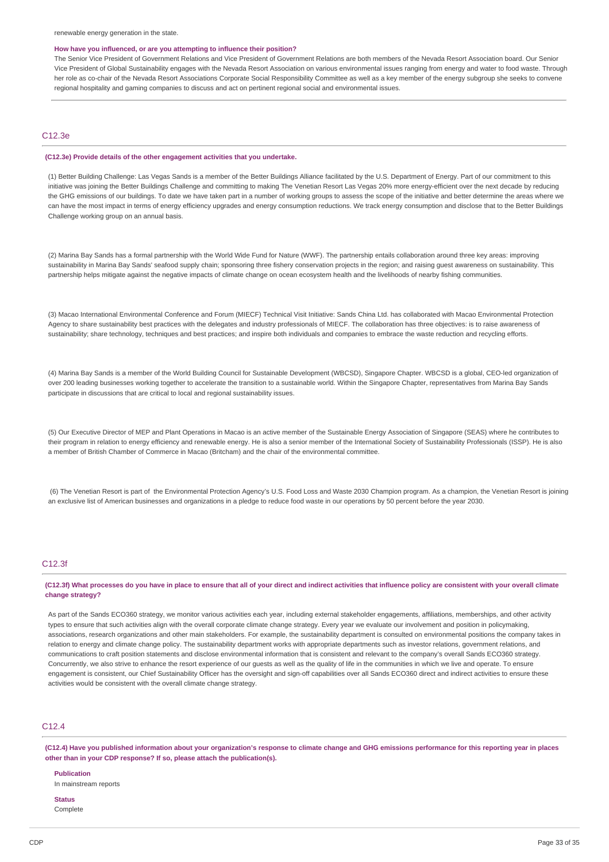#### **How have you influenced, or are you attempting to influence their position?**

The Senior Vice President of Government Relations and Vice President of Government Relations are both members of the Nevada Resort Association board. Our Senior Vice President of Global Sustainability engages with the Nevada Resort Association on various environmental issues ranging from energy and water to food waste. Through her role as co-chair of the Nevada Resort Associations Corporate Social Responsibility Committee as well as a key member of the energy subgroup she seeks to convene regional hospitality and gaming companies to discuss and act on pertinent regional social and environmental issues.

### C12.3e

#### **(C12.3e) Provide details of the other engagement activities that you undertake.**

(1) Better Building Challenge: Las Vegas Sands is a member of the Better Buildings Alliance facilitated by the U.S. Department of Energy. Part of our commitment to this initiative was joining the Better Buildings Challenge and committing to making The Venetian Resort Las Vegas 20% more energy-efficient over the next decade by reducing the GHG emissions of our buildings. To date we have taken part in a number of working groups to assess the scope of the initiative and better determine the areas where we can have the most impact in terms of energy efficiency upgrades and energy consumption reductions. We track energy consumption and disclose that to the Better Buildings Challenge working group on an annual basis.

(2) Marina Bay Sands has a formal partnership with the World Wide Fund for Nature (WWF). The partnership entails collaboration around three key areas: improving sustainability in Marina Bay Sands' seafood supply chain; sponsoring three fishery conservation projects in the region; and raising guest awareness on sustainability. This partnership helps mitigate against the negative impacts of climate change on ocean ecosystem health and the livelihoods of nearby fishing communities.

(3) Macao International Environmental Conference and Forum (MIECF) Technical Visit Initiative: Sands China Ltd. has collaborated with Macao Environmental Protection Agency to share sustainability best practices with the delegates and industry professionals of MIECF. The collaboration has three objectives: is to raise awareness of sustainability; share technology, techniques and best practices; and inspire both individuals and companies to embrace the waste reduction and recycling efforts.

(4) Marina Bay Sands is a member of the World Building Council for Sustainable Development (WBCSD), Singapore Chapter. WBCSD is a global, CEO-led organization of over 200 leading businesses working together to accelerate the transition to a sustainable world. Within the Singapore Chapter, representatives from Marina Bay Sands participate in discussions that are critical to local and regional sustainability issues.

(5) Our Executive Director of MEP and Plant Operations in Macao is an active member of the Sustainable Energy Association of Singapore (SEAS) where he contributes to their program in relation to energy efficiency and renewable energy. He is also a senior member of the International Society of Sustainability Professionals (ISSP). He is also a member of British Chamber of Commerce in Macao (Britcham) and the chair of the environmental committee.

(6) The Venetian Resort is part of the Environmental Protection Agency's U.S. Food Loss and Waste 2030 Champion program. As a champion, the Venetian Resort is joining an exclusive list of American businesses and organizations in a pledge to reduce food waste in our operations by 50 percent before the year 2030.

#### C12.3f

(C12.3f) What processes do you have in place to ensure that all of your direct and indirect activities that influence policy are consistent with your overall climate **change strategy?**

As part of the Sands ECO360 strategy, we monitor various activities each year, including external stakeholder engagements, affiliations, memberships, and other activity types to ensure that such activities align with the overall corporate climate change strategy. Every year we evaluate our involvement and position in policymaking, associations, research organizations and other main stakeholders. For example, the sustainability department is consulted on environmental positions the company takes in relation to energy and climate change policy. The sustainability department works with appropriate departments such as investor relations, government relations, and communications to craft position statements and disclose environmental information that is consistent and relevant to the company's overall Sands ECO360 strategy. Concurrently, we also strive to enhance the resort experience of our guests as well as the quality of life in the communities in which we live and operate. To ensure engagement is consistent, our Chief Sustainability Officer has the oversight and sign-off capabilities over all Sands ECO360 direct and indirect activities to ensure these activities would be consistent with the overall climate change strategy.

### C12.4

(C12.4) Have you published information about your organization's response to climate change and GHG emissions performance for this reporting year in places **other than in your CDP response? If so, please attach the publication(s).**

**Publication** In mainstream reports

**Status** Complete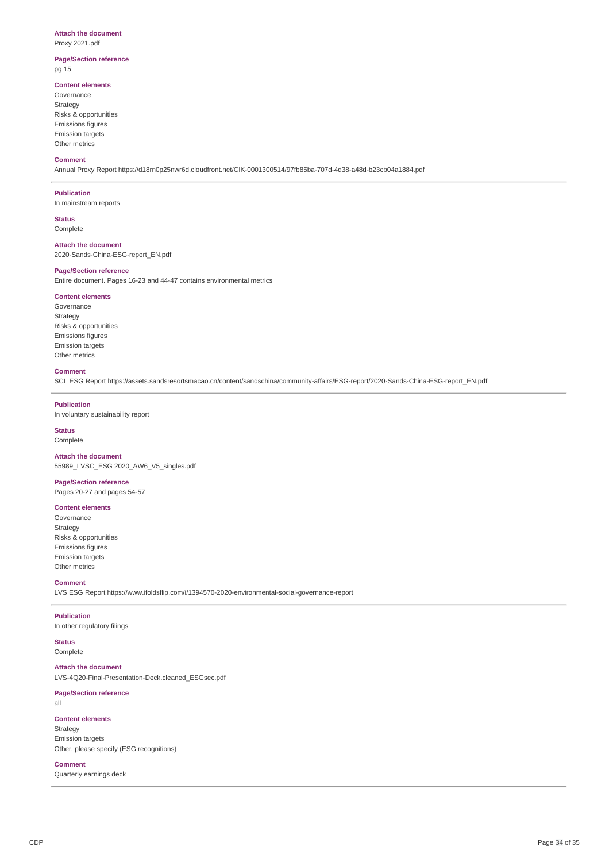### **Attach the document**

Proxy 2021.pdf

### **Page/Section reference** pg 15

### **Content elements**

Governance Strategy Risks & opportunities Emissions figures Emission targets Other metrics

#### **Comment**

Annual Proxy Report https://d18rn0p25nwr6d.cloudfront.net/CIK-0001300514/97fb85ba-707d-4d38-a48d-b23cb04a1884.pdf

#### **Publication**

In mainstream reports

**Status** Complete

### **Attach the document**

2020-Sands-China-ESG-report\_EN.pdf

#### **Page/Section reference**

Entire document. Pages 16-23 and 44-47 contains environmental metrics

## **Content elements**

Governance Strategy Risks & opportunities Emissions figures Emission targets Other metrics

#### **Comment**

SCL ESG Report https://assets.sandsresortsmacao.cn/content/sandschina/community-affairs/ESG-report/2020-Sands-China-ESG-report\_EN.pdf

### **Publication**

In voluntary sustainability report

# **Status**

Complete

#### **Attach the document** 55989\_LVSC\_ESG 2020\_AW6\_V5\_singles.pdf

**Page/Section reference** Pages 20-27 and pages 54-57

### **Content elements**

Governance Strategy Risks & opportunities Emissions figures Emission targets Other metrics

#### **Comment** LVS ESG Report https://www.ifoldsflip.com/i/1394570-2020-environmental-social-governance-report

**Publication** In other regulatory filings

## **Status**

Complete

### **Attach the document**

LVS-4Q20-Final-Presentation-Deck.cleaned\_ESGsec.pdf

## **Page/Section reference**

all

### **Content elements**

Strategy Emission targets Other, please specify (ESG recognitions)

#### **Comment**

Quarterly earnings deck